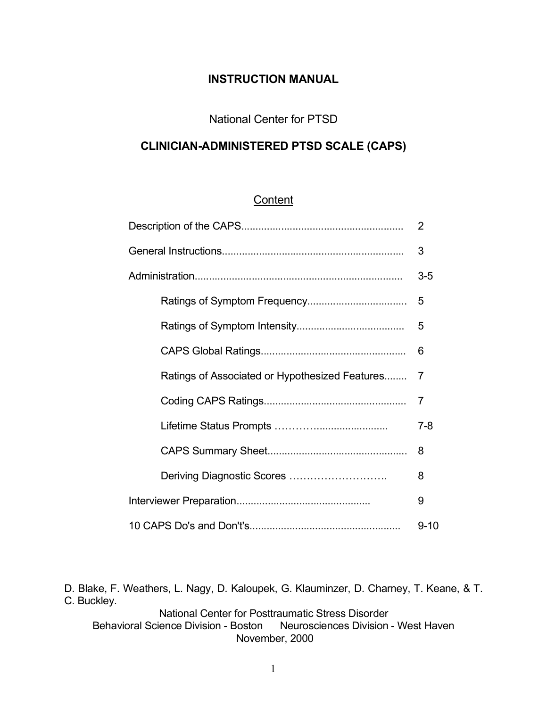#### **INSTRUCTION MANUAL**

### National Center for PTSD

# **CLINICIAN-ADMINISTERED PTSD SCALE (CAPS)**

### **Content**

|                                                | 2     |
|------------------------------------------------|-------|
|                                                | 3     |
|                                                | $3-5$ |
|                                                | 5     |
|                                                | 5     |
|                                                | 6     |
| Ratings of Associated or Hypothesized Features | 7     |
|                                                | 7     |
|                                                | $7-8$ |
|                                                | 8     |
|                                                | 8     |
|                                                | 9     |
|                                                |       |

 D. Blake, F. Weathers, L. Nagy, D. Kaloupek, G. Klauminzer, D. Charney, T. Keane, & T. C. Buckley.

 National Center for Posttraumatic Stress Disorder Behavioral Science Division - Boston November, 2000 Neurosciences Division - West Haven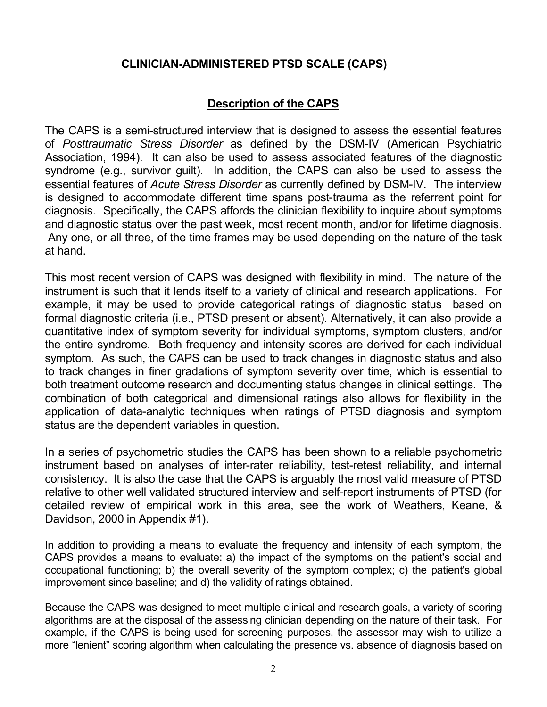### **CLINICIAN-ADMINISTERED PTSD SCALE (CAPS)**

### **Description of the CAPS**

<span id="page-1-0"></span> The CAPS is a semi-structured interview that is designed to assess the essential features Association, 1994). It can also be used to assess associated features of the diagnostic syndrome (e.g., survivor guilt). In addition, the CAPS can also be used to assess the essential features of *Acute Stress Disorder* as currently defined by DSM-IV. The interview is designed to accommodate different time spans post-trauma as the referrent point for diagnosis. Specifically, the CAPS affords the clinician flexibility to inquire about symptoms and diagnostic status over the past week, most recent month, and/or for lifetime diagnosis. Any one, or all three, of the time frames may be used depending on the nature of the task of *Posttraumatic Stress Disorder* as defined by the DSM-IV (American Psychiatric at hand.

 This most recent version of CAPS was designed with flexibility in mind. The nature of the instrument is such that it lends itself to a variety of clinical and research applications. For example, it may be used to provide categorical ratings of diagnostic status based on formal diagnostic criteria (i.e., PTSD present or absent). Alternatively, it can also provide a quantitative index of symptom severity for individual symptoms, symptom clusters, and/or the entire syndrome. Both frequency and intensity scores are derived for each individual symptom. As such, the CAPS can be used to track changes in diagnostic status and also to track changes in finer gradations of symptom severity over time, which is essential to both treatment outcome research and documenting status changes in clinical settings. The combination of both categorical and dimensional ratings also allows for flexibility in the application of data-analytic techniques when ratings of PTSD diagnosis and symptom status are the dependent variables in question.

 In a series of psychometric studies the CAPS has been shown to a reliable psychometric instrument based on analyses of inter-rater reliability, test-retest reliability, and internal consistency. It is also the case that the CAPS is arguably the most valid measure of PTSD relative to other well validated structured interview and self-report instruments of PTSD (for detailed review of empirical work in this area, see the work of Weathers, Keane, & Davidson, 2000 in Appendix #1).

 In addition to providing a means to evaluate the frequency and intensity of each symptom, the CAPS provides a means to evaluate: a) the impact of the symptoms on the patient's social and occupational functioning; b) the overall severity of the symptom complex; c) the patient's global improvement since baseline; and d) the validity of ratings obtained.

 Because the CAPS was designed to meet multiple clinical and research goals, a variety of scoring algorithms are at the disposal of the assessing clinician depending on the nature of their task. For example, if the CAPS is being used for screening purposes, the assessor may wish to utilize a more "lenient" scoring algorithm when calculating the presence vs. absence of diagnosis based on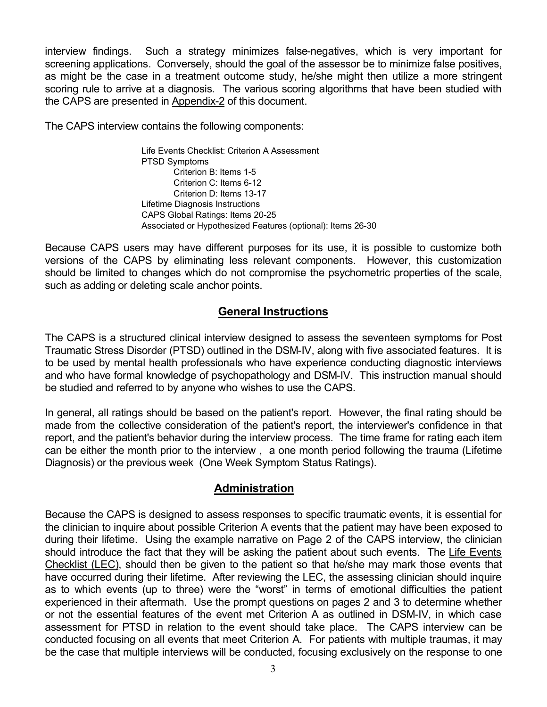<span id="page-2-0"></span> interview findings. Such a strategy minimizes false-negatives, which is very important for screening applications. Conversely, should the goal of the assessor be to minimize false positives, as might be the case in a treatment outcome study, he/she might then utilize a more stringent scoring rule to arrive at a diagnosis. The various scoring algorithms that have been studied with the CAPS are presented in Appendix-2 of this document.

The CAPS interview contains the following components:

 Life Events Checklist: Criterion A Assessment Criterion B: Items 1-5 Criterion C: Items 6-12 Criterion D: Items 13-17 Lifetime Diagnosis Instructions CAPS Global Ratings: Items 20-25 Associated or Hypothesized Features (optional): Items 26-30 PTSD Symptoms

 Because CAPS users may have different purposes for its use, it is possible to customize both versions of the CAPS by eliminating less relevant components. However, this customization should be limited to changes which do not compromise the psychometric properties of the scale, such as adding or deleting scale anchor points.

### **General Instructions**

 The CAPS is a structured clinical interview designed to assess the seventeen symptoms for Post Traumatic Stress Disorder (PTSD) outlined in the DSM-IV, along with five associated features. It is to be used by mental health professionals who have experience conducting diagnostic interviews and who have formal knowledge of psychopathology and DSM-IV. This instruction manual should be studied and referred to by anyone who wishes to use the CAPS.

 In general, all ratings should be based on the patient's report. However, the final rating should be made from the collective consideration of the patient's report, the interviewer's confidence in that report, and the patient's behavior during the interview process. The time frame for rating each item can be either the month prior to the interview , a one month period following the trauma (Lifetime Diagnosis) or the previous week (One Week Symptom Status Ratings).

### **Administration**

 Because the CAPS is designed to assess responses to specific traumatic events, it is essential for the clinician to inquire about possible Criterion A events that the patient may have been exposed to during their lifetime. Using the example narrative on Page 2 of the CAPS interview, the clinician should introduce the fact that they will be asking the patient about such events. The Life Events Checklist (LEC), should then be given to the patient so that he/she may mark those events that have occurred during their lifetime. After reviewing the LEC, the assessing clinician should inquire as to which events (up to three) were the "worst" in terms of emotional difficulties the patient experienced in their aftermath. Use the prompt questions on pages 2 and 3 to determine whether or not the essential features of the event met Criterion A as outlined in DSM-IV, in which case assessment for PTSD in relation to the event should take place. The CAPS interview can be conducted focusing on all events that meet Criterion A. For patients with multiple traumas, it may be the case that multiple interviews will be conducted, focusing exclusively on the response to one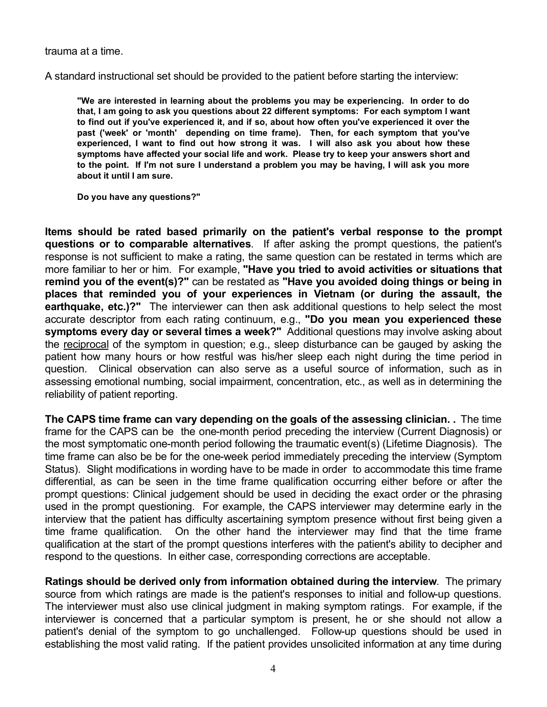trauma at a time.

A standard instructional set should be provided to the patient before starting the interview:

 **"We are interested in learning about the problems you may be experiencing. In order to do that, I am going to ask you questions about 22 different symptoms: For each symptom I want to find out if you've experienced it, and if so, about how often you've experienced it over the past ('week' or 'month' depending on time frame). Then, for each symptom that you've experienced, I want to find out how strong it was. I will also ask you about how these symptoms have affected your social life and work. Please try to keep your answers short and to the point. If I'm not sure I understand a problem you may be having, I will ask you more about it until I am sure.** 

 **Do you have any questions?"** 

 **Items should be rated based primarily on the patient's verbal response to the prompt questions or to comparable alternatives**. If after asking the prompt questions, the patient's response is not sufficient to make a rating, the same question can be restated in terms which are more familiar to her or him. For example, **"Have you tried to avoid activities or situations that remind you of the event(s)?"** can be restated as **"Have you avoided doing things or being in places that reminded you of your experiences in Vietnam (or during the assault, the earthquake, etc.)?"** The interviewer can then ask additional questions to help select the most accurate descriptor from each rating continuum, e.g., **"Do you mean you experienced these symptoms every day or several times a week?"** Additional questions may involve asking about the reciprocal of the symptom in question; e.g., sleep disturbance can be gauged by asking the patient how many hours or how restful was his/her sleep each night during the time period in question. Clinical observation can also serve as a useful source of information, such as in assessing emotional numbing, social impairment, concentration, etc., as well as in determining the reliability of patient reporting.

 **The CAPS time frame can vary depending on the goals of the assessing clinician. .** The time frame for the CAPS can be the one-month period preceding the interview (Current Diagnosis) or the most symptomatic one-month period following the traumatic event(s) (Lifetime Diagnosis). The time frame can also be be for the one-week period immediately preceding the interview (Symptom Status). Slight modifications in wording have to be made in order to accommodate this time frame differential, as can be seen in the time frame qualification occurring either before or after the prompt questions: Clinical judgement should be used in deciding the exact order or the phrasing used in the prompt questioning. For example, the CAPS interviewer may determine early in the interview that the patient has difficulty ascertaining symptom presence without first being given a time frame qualification. On the other hand the interviewer may find that the time frame qualification at the start of the prompt questions interferes with the patient's ability to decipher and respond to the questions. In either case, corresponding corrections are acceptable.

 **Ratings should be derived only from information obtained during the interview**. The primary source from which ratings are made is the patient's responses to initial and follow-up questions. The interviewer must also use clinical judgment in making symptom ratings. For example, if the interviewer is concerned that a particular symptom is present, he or she should not allow a patient's denial of the symptom to go unchallenged. Follow-up questions should be used in establishing the most valid rating. If the patient provides unsolicited information at any time during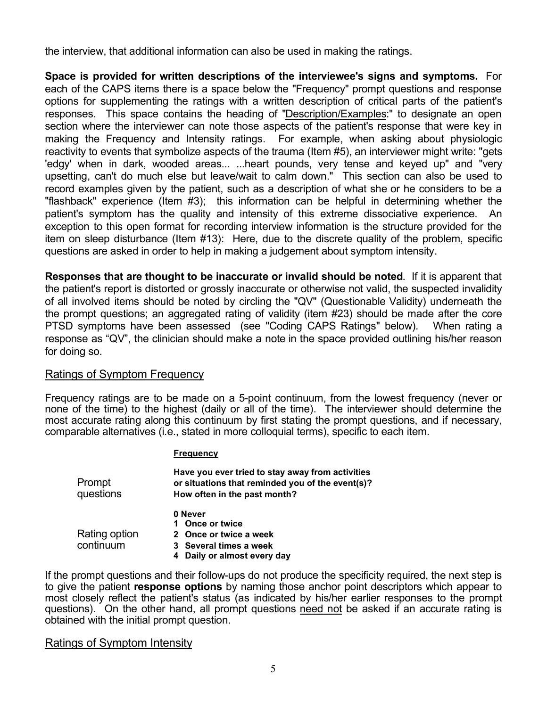the interview, that additional information can also be used in making the ratings.

 **Space is provided for written descriptions of the interviewee's signs and symptoms.** For each of the CAPS items there is a space below the "Frequency" prompt questions and response options for supplementing the ratings with a written description of critical parts of the patient's responses. This space contains the heading of "Description/Examples:" to designate an open section where the interviewer can note those aspects of the patient's response that were key in making the Frequency and Intensity ratings. For example, when asking about physiologic reactivity to events that symbolize aspects of the trauma (Item #5), an interviewer might write: "gets 'edgy' when in dark, wooded areas... ...heart pounds, very tense and keyed up" and "very upsetting, can't do much else but leave/wait to calm down." This section can also be used to record examples given by the patient, such as a description of what she or he considers to be a "flashback" experience (Item #3); this information can be helpful in determining whether the patient's symptom has the quality and intensity of this extreme dissociative experience. An exception to this open format for recording interview information is the structure provided for the item on sleep disturbance (Item #13): Here, due to the discrete quality of the problem, specific questions are asked in order to help in making a judgement about symptom intensity.

 **Responses that are thought to be inaccurate or invalid should be noted**. If it is apparent that the patient's report is distorted or grossly inaccurate or otherwise not valid, the suspected invalidity of all involved items should be noted by circling the "QV" (Questionable Validity) underneath the the prompt questions; an aggregated rating of validity (item #23) should be made after the core PTSD symptoms have been assessed (see "Coding CAPS Ratings" below). When rating a response as "QV", the clinician should make a note in the space provided outlining his/her reason for doing so.

### Ratings of Symptom Frequency

 Frequency ratings are to be made on a 5-point continuum, from the lowest frequency (never or none of the time) to the highest (daily or all of the time). The interviewer should determine the most accurate rating along this continuum by first stating the prompt questions, and if necessary, comparable alternatives (i.e., stated in more colloquial terms), specific to each item.

#### **Frequency**

| Prompt<br>questions        | Have you ever tried to stay away from activities<br>or situations that reminded you of the event(s)?<br>How often in the past month? |
|----------------------------|--------------------------------------------------------------------------------------------------------------------------------------|
| Rating option<br>continuum | 0 Never<br>Once or twice<br>1.<br>2 Once or twice a week<br>3 Several times a week<br>4 Daily or almost every day                    |

 If the prompt questions and their follow-ups do not produce the specificity required, the next step is to give the patient **response options** by naming those anchor point descriptors which appear to most closely reflect the patient's status (as indicated by his/her earlier responses to the prompt questions). On the other hand, all prompt questions need not be asked if an accurate rating is obtained with the initial prompt question.

### Ratings of Symptom Intensity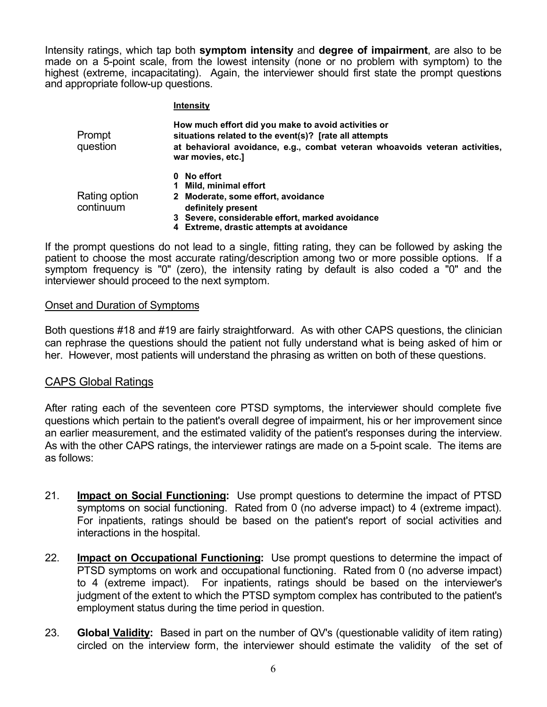<span id="page-5-0"></span> Intensity ratings, which tap both **symptom intensity** and **degree of impairment**, are also to be made on a 5-point scale, from the lowest intensity (none or no problem with symptom) to the highest (extreme, incapacitating). Again, the interviewer should first state the prompt questions and appropriate follow-up questions.

|                            | <b>Intensity</b>                                                                                                                                                                                                  |
|----------------------------|-------------------------------------------------------------------------------------------------------------------------------------------------------------------------------------------------------------------|
| Prompt<br>question         | How much effort did you make to avoid activities or<br>situations related to the event(s)? [rate all attempts<br>at behavioral avoidance, e.g., combat veteran whoavoids veteran activities,<br>war movies, etc.] |
| Rating option<br>continuum | No effort<br>n.<br>Mild, minimal effort<br>2 Moderate, some effort, avoidance<br>definitely present<br>3 Severe, considerable effort, marked avoidance<br>4 Extreme, drastic attempts at avoidance                |

 If the prompt questions do not lead to a single, fitting rating, they can be followed by asking the patient to choose the most accurate rating/description among two or more possible options. If a symptom frequency is "0" (zero), the intensity rating by default is also coded a "0" and the interviewer should proceed to the next symptom.

### **Onset and Duration of Symptoms**

 Both questions #18 and #19 are fairly straightforward. As with other CAPS questions, the clinician can rephrase the questions should the patient not fully understand what is being asked of him or her. However, most patients will understand the phrasing as written on both of these questions.

### CAPS Global Ratings

 After rating each of the seventeen core PTSD symptoms, the interviewer should complete five questions which pertain to the patient's overall degree of impairment, his or her improvement since an earlier measurement, and the estimated validity of the patient's responses during the interview. As with the other CAPS ratings, the interviewer ratings are made on a 5-point scale. The items are as follows:

- 21. **Impact on Social Functioning:** Use prompt questions to determine the impact of PTSD symptoms on social functioning. Rated from 0 (no adverse impact) to 4 (extreme impact). For inpatients, ratings should be based on the patient's report of social activities and interactions in the hospital.
- 22. **Impact on Occupational Functioning:** Use prompt questions to determine the impact of PTSD symptoms on work and occupational functioning. Rated from 0 (no adverse impact) to 4 (extreme impact). For inpatients, ratings should be based on the interviewer's judgment of the extent to which the PTSD symptom complex has contributed to the patient's employment status during the time period in question.
- 23. **Global Validity:** Based in part on the number of QV's (questionable validity of item rating) circled on the interview form, the interviewer should estimate the validity of the set of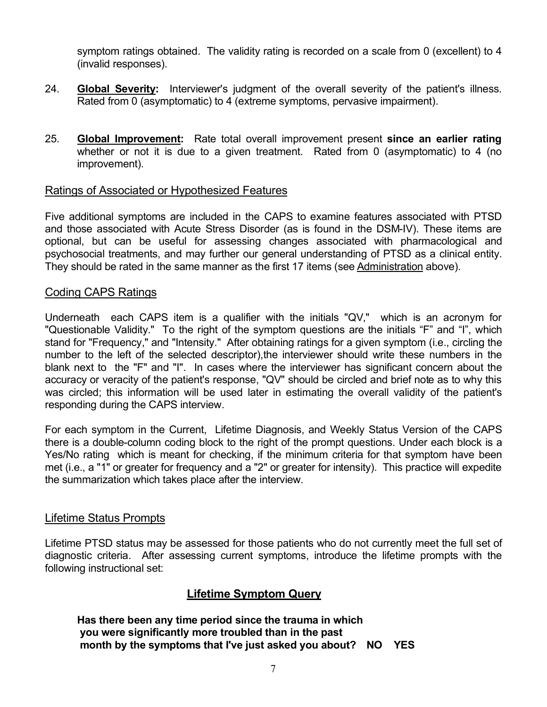<span id="page-6-0"></span> symptom ratings obtained. The validity rating is recorded on a scale from 0 (excellent) to 4 (invalid responses).

- 24. **Global Severity:** Interviewer's judgment of the overall severity of the patient's illness. Rated from 0 (asymptomatic) to 4 (extreme symptoms, pervasive impairment).
- 25. **Global Improvement:** Rate total overall improvement present **since an earlier rating**  whether or not it is due to a given treatment. Rated from 0 (asymptomatic) to 4 (no improvement).

### Ratings of Associated or Hypothesized Features

 Five additional symptoms are included in the CAPS to examine features associated with PTSD and those associated with Acute Stress Disorder (as is found in the DSM-IV). These items are optional, but can be useful for assessing changes associated with pharmacological and psychosocial treatments, and may further our general understanding of PTSD as a clinical entity. They should be rated in the same manner as the first 17 items (see Administration above).

### Coding CAPS Ratings

 Underneath each CAPS item is a qualifier with the initials "QV," which is an acronym for "Questionable Validity." To the right of the symptom questions are the initials "F" and "I", which stand for "Frequency," and "Intensity." After obtaining ratings for a given symptom (i.e., circling the number to the left of the selected descriptor),the interviewer should write these numbers in the blank next to the "F" and "I". In cases where the interviewer has significant concern about the accuracy or veracity of the patient's response, "QV" should be circled and brief note as to why this was circled; this information will be used later in estimating the overall validity of the patient's responding during the CAPS interview.

 For each symptom in the Current, Lifetime Diagnosis, and Weekly Status Version of the CAPS there is a double-column coding block to the right of the prompt questions. Under each block is a Yes/No rating which is meant for checking, if the minimum criteria for that symptom have been met (i.e., a "1" or greater for frequency and a "2" or greater for intensity). This practice will expedite the summarization which takes place after the interview.

### Lifetime Status Prompts

 Lifetime PTSD status may be assessed for those patients who do not currently meet the full set of diagnostic criteria. After assessing current symptoms, introduce the lifetime prompts with the following instructional set:

### **Lifetime Symptom Query**

 **Has there been any time period since the trauma in which you were significantly more troubled than in the past month by the symptoms that I've just asked you about? NO YES**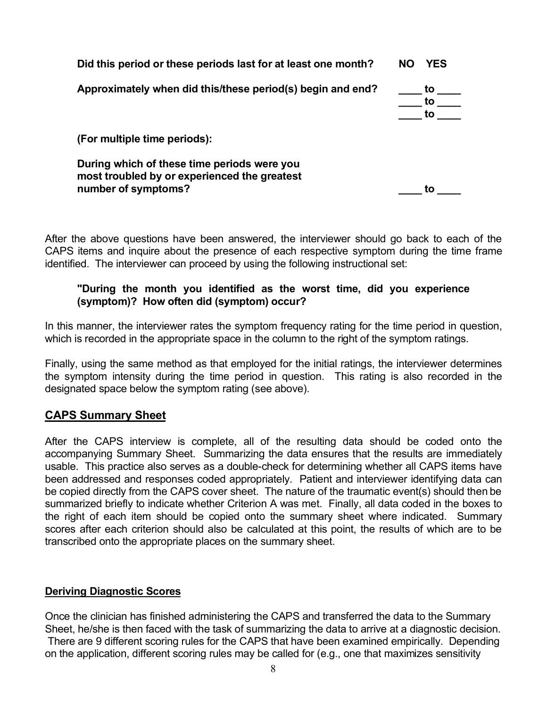<span id="page-7-0"></span>

| Did this period or these periods last for at least one month?                               | YES<br><b>NC</b> |
|---------------------------------------------------------------------------------------------|------------------|
| Approximately when did this/these period(s) begin and end?                                  | to               |
| (For multiple time periods):                                                                |                  |
| During which of these time periods were you<br>most troubled by or experienced the greatest |                  |
| number of symptoms?                                                                         |                  |

 After the above questions have been answered, the interviewer should go back to each of the CAPS items and inquire about the presence of each respective symptom during the time frame identified. The interviewer can proceed by using the following instructional set:

### **"During the month you identified as the worst time, did you experience (symptom)? How often did (symptom) occur?**

 In this manner, the interviewer rates the symptom frequency rating for the time period in question, which is recorded in the appropriate space in the column to the right of the symptom ratings.

 Finally, using the same method as that employed for the initial ratings, the interviewer determines the symptom intensity during the time period in question. This rating is also recorded in the designated space below the symptom rating (see above).

### **CAPS Summary Sheet**

 After the CAPS interview is complete, all of the resulting data should be coded onto the accompanying Summary Sheet. Summarizing the data ensures that the results are immediately usable. This practice also serves as a double-check for determining whether all CAPS items have been addressed and responses coded appropriately. Patient and interviewer identifying data can be copied directly from the CAPS cover sheet. The nature of the traumatic event(s) should then be summarized briefly to indicate whether Criterion A was met. Finally, all data coded in the boxes to the right of each item should be copied onto the summary sheet where indicated. Summary scores after each criterion should also be calculated at this point, the results of which are to be transcribed onto the appropriate places on the summary sheet.

### **Deriving Diagnostic Scores**

 Once the clinician has finished administering the CAPS and transferred the data to the Summary Sheet, he/she is then faced with the task of summarizing the data to arrive at a diagnostic decision. There are 9 different scoring rules for the CAPS that have been examined empirically. Depending on the application, different scoring rules may be called for (e.g., one that maximizes sensitivity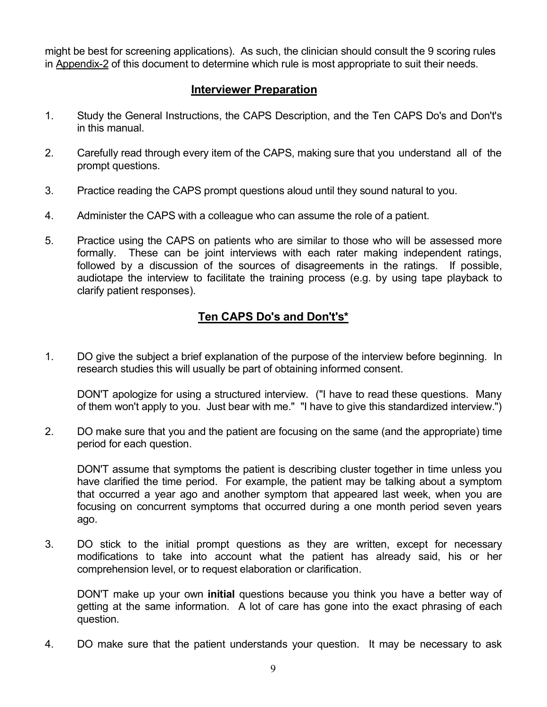<span id="page-8-0"></span> might be best for screening applications). As such, the clinician should consult the 9 scoring rules in Appendix-2 of this document to determine which rule is most appropriate to suit their needs.

### **Interviewer Preparation**

- 1. Study the General Instructions, the CAPS Description, and the Ten CAPS Do's and Don't's in this manual.
- 2. Carefully read through every item of the CAPS, making sure that you understand all of the prompt questions.
- 3. Practice reading the CAPS prompt questions aloud until they sound natural to you.
- 4. Administer the CAPS with a colleague who can assume the role of a patient.
- 5. Practice using the CAPS on patients who are similar to those who will be assessed more formally. These can be joint interviews with each rater making independent ratings, followed by a discussion of the sources of disagreements in the ratings. If possible, audiotape the interview to facilitate the training process (e.g. by using tape playback to clarify patient responses).

## **Ten CAPS Do's and Don't's\***

1. DO give the subject a brief explanation of the purpose of the interview before beginning. In research studies this will usually be part of obtaining informed consent.

 DON'T apologize for using a structured interview. ("I have to read these questions. Many of them won't apply to you. Just bear with me." "I have to give this standardized interview.")

2. DO make sure that you and the patient are focusing on the same (and the appropriate) time period for each question.

 DON'T assume that symptoms the patient is describing cluster together in time unless you have clarified the time period. For example, the patient may be talking about a symptom that occurred a year ago and another symptom that appeared last week, when you are focusing on concurrent symptoms that occurred during a one month period seven years ago.

3. DO stick to the initial prompt questions as they are written, except for necessary modifications to take into account what the patient has already said, his or her comprehension level, or to request elaboration or clarification.

 DON'T make up your own **initial** questions because you think you have a better way of getting at the same information. A lot of care has gone into the exact phrasing of each question.

4. DO make sure that the patient understands your question. It may be necessary to ask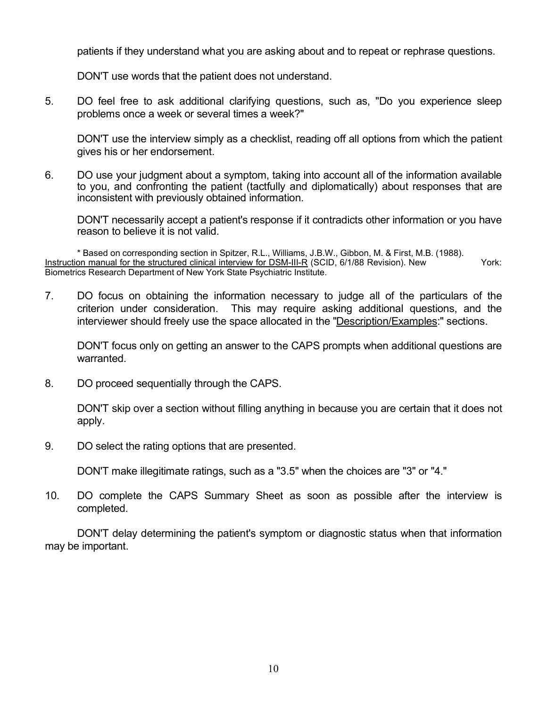patients if they understand what you are asking about and to repeat or rephrase questions.

DON'T use words that the patient does not understand.

5. DO feel free to ask additional clarifying questions, such as, "Do you experience sleep problems once a week or several times a week?"

 DON'T use the interview simply as a checklist, reading off all options from which the patient gives his or her endorsement.

6. DO use your judgment about a symptom, taking into account all of the information available to you, and confronting the patient (tactfully and diplomatically) about responses that are inconsistent with previously obtained information.

 DON'T necessarily accept a patient's response if it contradicts other information or you have reason to believe it is not valid.

 \* Based on corresponding section in Spitzer, R.L., Williams, J.B.W., Gibbon, M. & First, M.B. (1988). Instruction manual for the structured clinical interview for DSM-III-R (SCID, 6/1/88 Revision). New York: Biometrics Research Department of New York State Psychiatric Institute.

7. DO focus on obtaining the information necessary to judge all of the particulars of the criterion under consideration. interviewer should freely use the space allocated in the "Description/Examples:" sections. This may require asking additional questions, and the

 DON'T focus only on getting an answer to the CAPS prompts when additional questions are warranted.

8. DO proceed sequentially through the CAPS.

 DON'T skip over a section without filling anything in because you are certain that it does not apply.

9. DO select the rating options that are presented.

DON'T make illegitimate ratings, such as a "3.5" when the choices are "3" or "4."

10. DO complete the CAPS Summary Sheet as soon as possible after the interview is completed.

 DON'T delay determining the patient's symptom or diagnostic status when that information may be important.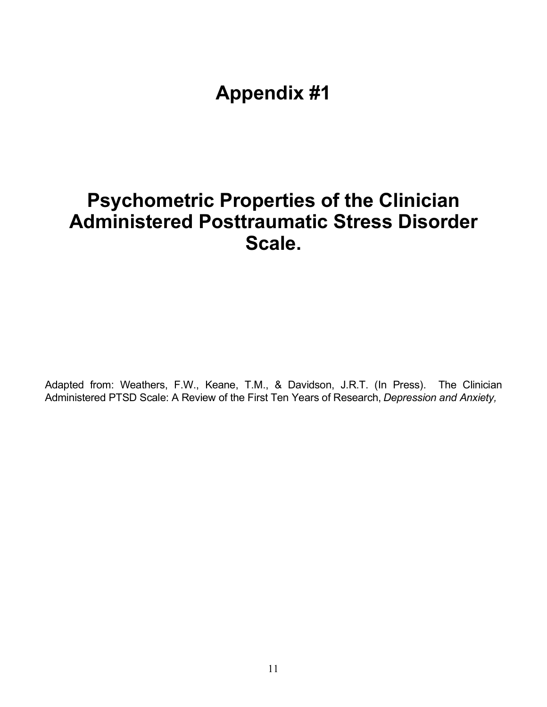**Appendix #1**

# **Psychometric Properties of the Clinician Administered Posttraumatic Stress Disorder Scale.**

 Adapted from: Weathers, F.W., Keane, T.M., & Davidson, J.R.T. (In Press). The Clinician Administered PTSD Scale: A Review of the First Ten Years of Research, *Depression and Anxiety,*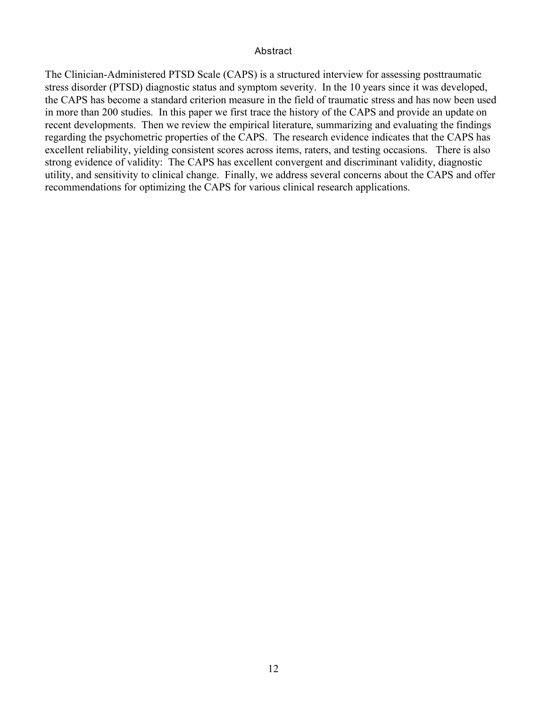#### Abstract

 The Clinician-Administered PTSD Scale (CAPS) is a structured interview for assessing posttraumatic stress disorder (PTSD) diagnostic status and symptom severity. In the 10 years since it was developed, the CAPS has become a standard criterion measure in the field of traumatic stress and has now been used in more than 200 studies. In this paper we first trace the history of the CAPS and provide an update on recent developments. Then we review the empirical literature, summarizing and evaluating the findings regarding the psychometric properties of the CAPS. The research evidence indicates that the CAPS has excellent reliability, yielding consistent scores across items, raters, and testing occasions. There is also strong evidence of validity: The CAPS has excellent convergent and discriminant validity, diagnostic utility, and sensitivity to clinical change. Finally, we address several concerns about the CAPS and offer recommendations for optimizing the CAPS for various clinical research applications.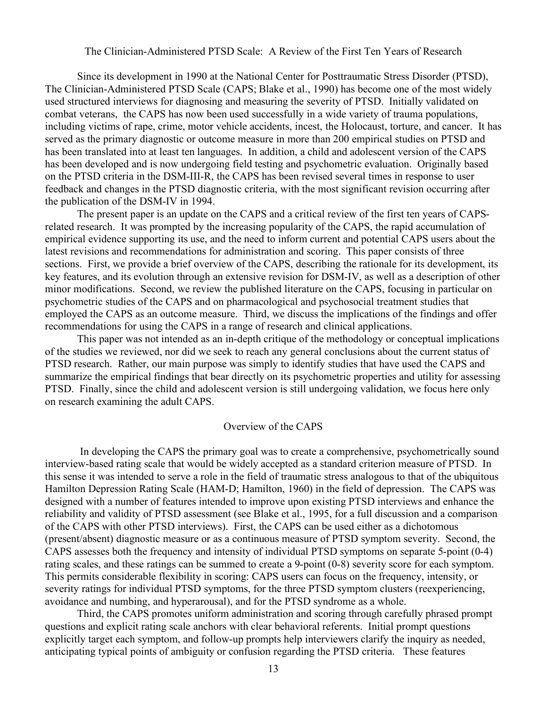#### The Clinician-Administered PTSD Scale: A Review of the First Ten Years of Research

 Since its development in 1990 at the National Center for Posttraumatic Stress Disorder (PTSD), The Clinician-Administered PTSD Scale (CAPS; Blake et al., 1990) has become one of the most widely used structured interviews for diagnosing and measuring the severity of PTSD. Initially validated on combat veterans, the CAPS has now been used successfully in a wide variety of trauma populations, including victims of rape, crime, motor vehicle accidents, incest, the Holocaust, torture, and cancer. It has served as the primary diagnostic or outcome measure in more than 200 empirical studies on PTSD and has been translated into at least ten languages. In addition, a child and adolescent version of the CAPS has been developed and is now undergoing field testing and psychometric evaluation. Originally based on the PTSD criteria in the DSM-III-R, the CAPS has been revised several times in response to user feedback and changes in the PTSD diagnostic criteria, with the most significant revision occurring after the publication of the DSM-IV in 1994.

 The present paper is an update on the CAPS and a critical review of the first ten years of CAPS- related research. It was prompted by the increasing popularity of the CAPS, the rapid accumulation of empirical evidence supporting its use, and the need to inform current and potential CAPS users about the latest revisions and recommendations for administration and scoring. This paper consists of three sections. First, we provide a brief overview of the CAPS, describing the rationale for its development, its key features, and its evolution through an extensive revision for DSM-IV, as well as a description of other minor modifications. Second, we review the published literature on the CAPS, focusing in particular on psychometric studies of the CAPS and on pharmacological and psychosocial treatment studies that employed the CAPS as an outcome measure. Third, we discuss the implications of the findings and offer recommendations for using the CAPS in a range of research and clinical applications.

 This paper was not intended as an in-depth critique of the methodology or conceptual implications of the studies we reviewed, nor did we seek to reach any general conclusions about the current status of PTSD research. Rather, our main purpose was simply to identify studies that have used the CAPS and summarize the empirical findings that bear directly on its psychometric properties and utility for assessing PTSD. Finally, since the child and adolescent version is still undergoing validation, we focus here only on research examining the adult CAPS.

#### Overview of the CAPS

 In developing the CAPS the primary goal was to create a comprehensive, psychometrically sound interview-based rating scale that would be widely accepted as a standard criterion measure of PTSD. In this sense it was intended to serve a role in the field of traumatic stress analogous to that of the ubiquitous Hamilton Depression Rating Scale (HAM-D; Hamilton, 1960) in the field of depression. The CAPS was designed with a number of features intended to improve upon existing PTSD interviews and enhance the reliability and validity of PTSD assessment (see Blake et al., 1995, for a full discussion and a comparison of the CAPS with other PTSD interviews). First, the CAPS can be used either as a dichotomous (present/absent) diagnostic measure or as a continuous measure of PTSD symptom severity. Second, the CAPS assesses both the frequency and intensity of individual PTSD symptoms on separate 5-point (0-4) rating scales, and these ratings can be summed to create a 9-point (0-8) severity score for each symptom. This permits considerable flexibility in scoring: CAPS users can focus on the frequency, intensity, or severity ratings for individual PTSD symptoms, for the three PTSD symptom clusters (reexperiencing, avoidance and numbing, and hyperarousal), and for the PTSD syndrome as a whole.

 Third, the CAPS promotes uniform administration and scoring through carefully phrased prompt questions and explicit rating scale anchors with clear behavioral referents. Initial prompt questions explicitly target each symptom, and follow-up prompts help interviewers clarify the inquiry as needed, anticipating typical points of ambiguity or confusion regarding the PTSD criteria. These features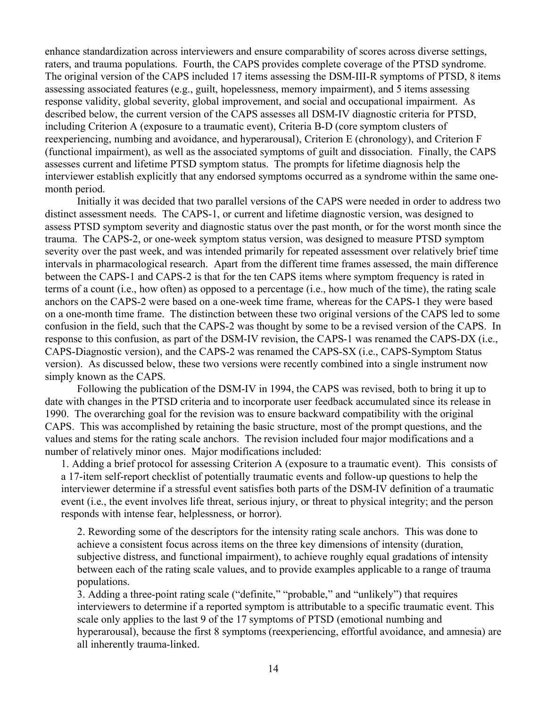enhance standardization across interviewers and ensure comparability of scores across diverse settings, raters, and trauma populations. Fourth, the CAPS provides complete coverage of the PTSD syndrome. The original version of the CAPS included 17 items assessing the DSM-III-R symptoms of PTSD, 8 items assessing associated features (e.g., guilt, hopelessness, memory impairment), and 5 items assessing response validity, global severity, global improvement, and social and occupational impairment. As described below, the current version of the CAPS assesses all DSM-IV diagnostic criteria for PTSD, including Criterion A (exposure to a traumatic event), Criteria B-D (core symptom clusters of reexperiencing, numbing and avoidance, and hyperarousal), Criterion E (chronology), and Criterion F (functional impairment), as well as the associated symptoms of guilt and dissociation. Finally, the CAPS assesses current and lifetime PTSD symptom status. The prompts for lifetime diagnosis help the interviewer establish explicitly that any endorsed symptoms occurred as a syndrome within the same onemonth period.

month period.<br>Initially it was decided that two parallel versions of the CAPS were needed in order to address two distinct assessment needs. The CAPS-1, or current and lifetime diagnostic version, was designed to assess PTSD symptom severity and diagnostic status over the past month, or for the worst month since the trauma. The CAPS-2, or one-week symptom status version, was designed to measure PTSD symptom severity over the past week, and was intended primarily for repeated assessment over relatively brief time intervals in pharmacological research. Apart from the different time frames assessed, the main difference between the CAPS-1 and CAPS-2 is that for the ten CAPS items where symptom frequency is rated in terms of a count (i.e., how often) as opposed to a percentage (i.e., how much of the time), the rating scale anchors on the CAPS-2 were based on a one-week time frame, whereas for the CAPS-1 they were based on a one-month time frame. The distinction between these two original versions of the CAPS led to some confusion in the field, such that the CAPS-2 was thought by some to be a revised version of the CAPS. In response to this confusion, as part of the DSM-IV revision, the CAPS-1 was renamed the CAPS-DX (i.e., CAPS-Diagnostic version), and the CAPS-2 was renamed the CAPS-SX (i.e., CAPS-Symptom Status version). As discussed below, these two versions were recently combined into a single instrument now simply known as the CAPS.

 Following the publication of the DSM-IV in 1994, the CAPS was revised, both to bring it up to date with changes in the PTSD criteria and to incorporate user feedback accumulated since its release in 1990. The overarching goal for the revision was to ensure backward compatibility with the original CAPS. This was accomplished by retaining the basic structure, most of the prompt questions, and the values and stems for the rating scale anchors. The revision included four major modifications and a number of relatively minor ones. Major modifications included:

 1. Adding a brief protocol for assessing Criterion A (exposure to a traumatic event). This consists of a 17-item self-report checklist of potentially traumatic events and follow-up questions to help the interviewer determine if a stressful event satisfies both parts of the DSM-IV definition of a traumatic event (i.e., the event involves life threat, serious injury, or threat to physical integrity; and the person responds with intense fear, helplessness, or horror).

 2. Rewording some of the descriptors for the intensity rating scale anchors. This was done to achieve a consistent focus across items on the three key dimensions of intensity (duration, subjective distress, and functional impairment), to achieve roughly equal gradations of intensity between each of the rating scale values, and to provide examples applicable to a range of trauma populations. populations.<br>3. Adding a three-point rating scale ("definite," "probable," and "unlikely") that requires

 interviewers to determine if a reported symptom is attributable to a specific traumatic event. This scale only applies to the last 9 of the 17 symptoms of PTSD (emotional numbing and hyperarousal), because the first 8 symptoms (reexperiencing, effortful avoidance, and amnesia) are all inherently trauma-linked.<br>14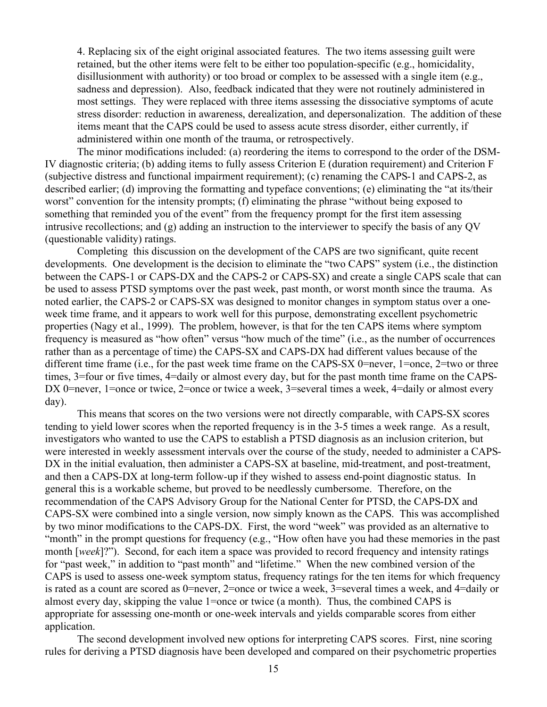4. Replacing six of the eight original associated features. The two items assessing guilt were retained, but the other items were felt to be either too population-specific (e.g., homicidality, disillusionment with authority) or too broad or complex to be assessed with a single item (e.g., sadness and depression). Also, feedback indicated that they were not routinely administered in most settings. They were replaced with three items assessing the dissociative symptoms of acute stress disorder: reduction in awareness, derealization, and depersonalization. The addition of these items meant that the CAPS could be used to assess acute stress disorder, either currently, if administered within one month of the trauma, or retrospectively.

 The minor modifications included: (a) reordering the items to correspond to the order of the DSM- IV diagnostic criteria; (b) adding items to fully assess Criterion E (duration requirement) and Criterion F (subjective distress and functional impairment requirement); (c) renaming the CAPS-1 and CAPS-2, as described earlier; (d) improving the formatting and typeface conventions; (e) eliminating the "at its/their worst" convention for the intensity prompts; (f) eliminating the phrase "without being exposed to something that reminded you of the event" from the frequency prompt for the first item assessing intrusive recollections; and (g) adding an instruction to the interviewer to specify the basis of any QV (questionable validity) ratings.

 Completing this discussion on the development of the CAPS are two significant, quite recent developments. One development is the decision to eliminate the "two CAPS" system (i.e., the distinction between the CAPS-1 or CAPS-DX and the CAPS-2 or CAPS-SX) and create a single CAPS scale that can be used to assess PTSD symptoms over the past week, past month, or worst month since the trauma. As noted earlier, the CAPS-2 or CAPS-SX was designed to monitor changes in symptom status over a one- week time frame, and it appears to work well for this purpose, demonstrating excellent psychometric properties (Nagy et al., 1999). The problem, however, is that for the ten CAPS items where symptom frequency is measured as "how often" versus "how much of the time" (i.e., as the number of occurrences rather than as a percentage of time) the CAPS-SX and CAPS-DX had different values because of the different time frame (i.e., for the past week time frame on the CAPS-SX 0=never, 1=once, 2=two or three times, 3=four or five times, 4=daily or almost every day, but for the past month time frame on the CAPS-DX 0=never, 1=once or twice, 2=once or twice a week, 3=several times a week, 4=daily or almost every day).

 This means that scores on the two versions were not directly comparable, with CAPS-SX scores tending to yield lower scores when the reported frequency is in the 3-5 times a week range. As a result, investigators who wanted to use the CAPS to establish a PTSD diagnosis as an inclusion criterion, but were interested in weekly assessment intervals over the course of the study, needed to administer a CAPS- DX in the initial evaluation, then administer a CAPS-SX at baseline, mid-treatment, and post-treatment, and then a CAPS-DX at long-term follow-up if they wished to assess end-point diagnostic status. In general this is a workable scheme, but proved to be needlessly cumbersome. Therefore, on the recommendation of the CAPS Advisory Group for the National Center for PTSD, the CAPS-DX and CAPS-SX were combined into a single version, now simply known as the CAPS. This was accomplished by two minor modifications to the CAPS-DX. First, the word "week" was provided as an alternative to "month" in the prompt questions for frequency (e.g., "How often have you had these memories in the past month [*week*]?"). Second, for each item a space was provided to record frequency and intensity ratings for "past week," in addition to "past month" and "lifetime." When the new combined version of the CAPS is used to assess one-week symptom status, frequency ratings for the ten items for which frequency is rated as a count are scored as 0=never, 2=once or twice a week, 3=several times a week, and 4=daily or almost every day, skipping the value 1=once or twice (a month). Thus, the combined CAPS is appropriate for assessing one-month or one-week intervals and yields comparable scores from either application. application. The second development involved new options for interpreting CAPS scores. First, nine scoring

rules for deriving a PTSD diagnosis have been developed and compared on their psychometric properties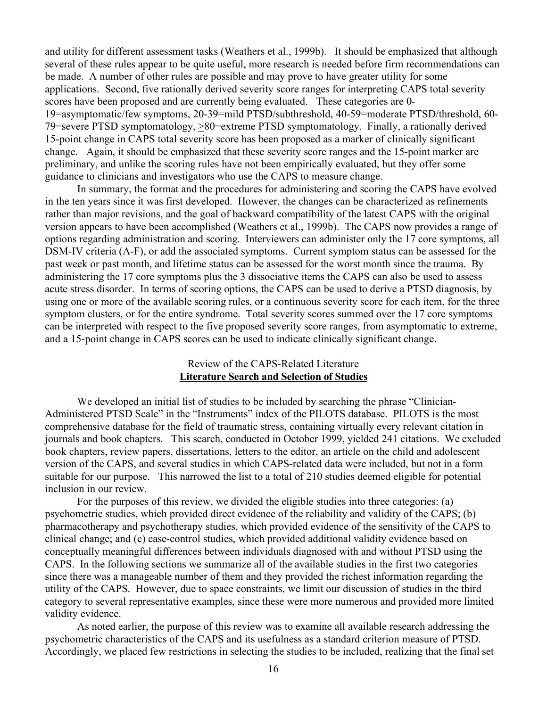and utility for different assessment tasks (Weathers et al., 1999b). It should be emphasized that although several of these rules appear to be quite useful, more research is needed before firm recommendations can be made. A number of other rules are possible and may prove to have greater utility for some applications. Second, five rationally derived severity score ranges for interpreting CAPS total severity scores have been proposed and are currently being evaluated. These categories are 0- 19=asymptomatic/few symptoms, 20-39=mild PTSD/subthreshold, 40-59=moderate PTSD/threshold, 60- 79=severe PTSD symptomatology,  $\geq 80$ =extreme PTSD symptomatology. Finally, a rationally derived 15-point change in CAPS total severity score has been proposed as a marker of clinically significant change. Again, it should be emphasized that these severity score ranges and the 15-point marker are preliminary, and unlike the scoring rules have not been empirically evaluated, but they offer some guidance to clinicians and investigators who use the CAPS to measure change.

 In summary, the format and the procedures for administering and scoring the CAPS have evolved in the ten years since it was first developed. However, the changes can be characterized as refinements rather than major revisions, and the goal of backward compatibility of the latest CAPS with the original version appears to have been accomplished (Weathers et al., 1999b). The CAPS now provides a range of options regarding administration and scoring. Interviewers can administer only the 17 core symptoms, all DSM-IV criteria (A-F), or add the associated symptoms. Current symptom status can be assessed for the past week or past month, and lifetime status can be assessed for the worst month since the trauma. By administering the 17 core symptoms plus the 3 dissociative items the CAPS can also be used to assess acute stress disorder. In terms of scoring options, the CAPS can be used to derive a PTSD diagnosis, by using one or more of the available scoring rules, or a continuous severity score for each item, for the three symptom clusters, or for the entire syndrome. Total severity scores summed over the 17 core symptoms can be interpreted with respect to the five proposed severity score ranges, from asymptomatic to extreme, and a 15-point change in CAPS scores can be used to indicate clinically significant change.

#### Review of the CAPS-Related Literature  **Literature Search and Selection of Studies**

 We developed an initial list of studies to be included by searching the phrase "Clinician- Administered PTSD Scale" in the "Instruments" index of the PILOTS database. PILOTS is the most comprehensive database for the field of traumatic stress, containing virtually every relevant citation in journals and book chapters. This search, conducted in October 1999, yielded 241 citations. We excluded book chapters, review papers, dissertations, letters to the editor, an article on the child and adolescent version of the CAPS, and several studies in which CAPS-related data were included, but not in a form suitable for our purpose. This narrowed the list to a total of 210 studies deemed eligible for potential inclusion in our review.

 For the purposes of this review, we divided the eligible studies into three categories: (a) psychometric studies, which provided direct evidence of the reliability and validity of the CAPS; (b) pharmacotherapy and psychotherapy studies, which provided evidence of the sensitivity of the CAPS to clinical change; and (c) case-control studies, which provided additional validity evidence based on conceptually meaningful differences between individuals diagnosed with and without PTSD using the CAPS. In the following sections we summarize all of the available studies in the first two categories since there was a manageable number of them and they provided the richest information regarding the utility of the CAPS. However, due to space constraints, we limit our discussion of studies in the third category to several representative examples, since these were more numerous and provided more limited validity evidence. validity evidence. As noted earlier, the purpose of this review was to examine all available research addressing the

 psychometric characteristics of the CAPS and its usefulness as a standard criterion measure of PTSD. Accordingly, we placed few restrictions in selecting the studies to be included, realizing that the final set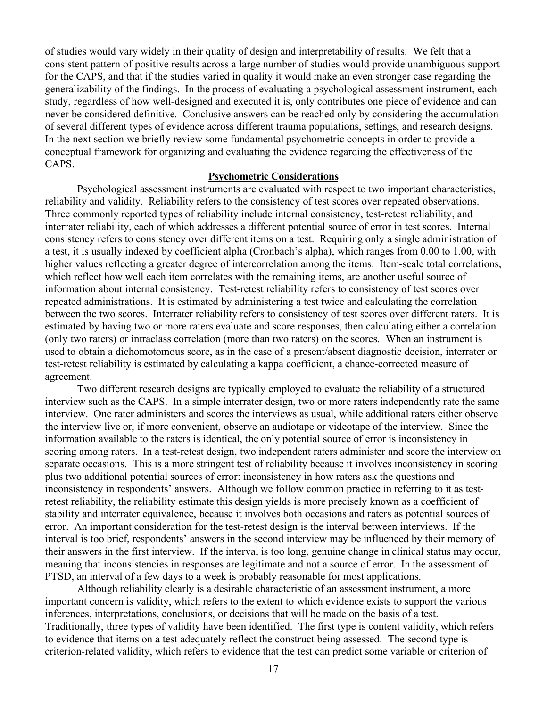of studies would vary widely in their quality of design and interpretability of results. We felt that a consistent pattern of positive results across a large number of studies would provide unambiguous support for the CAPS, and that if the studies varied in quality it would make an even stronger case regarding the generalizability of the findings. In the process of evaluating a psychological assessment instrument, each study, regardless of how well-designed and executed it is, only contributes one piece of evidence and can never be considered definitive. Conclusive answers can be reached only by considering the accumulation of several different types of evidence across different trauma populations, settings, and research designs. In the next section we briefly review some fundamental psychometric concepts in order to provide a conceptual framework for organizing and evaluating the evidence regarding the effectiveness of the CAPS.

#### **Psychometric Considerations**

 Psychological assessment instruments are evaluated with respect to two important characteristics, reliability and validity. Reliability refers to the consistency of test scores over repeated observations. Three commonly reported types of reliability include internal consistency, test-retest reliability, and interrater reliability, each of which addresses a different potential source of error in test scores. Internal consistency refers to consistency over different items on a test. Requiring only a single administration of a test, it is usually indexed by coefficient alpha (Cronbach's alpha), which ranges from 0.00 to 1.00, with higher values reflecting a greater degree of intercorrelation among the items. Item-scale total correlations, which reflect how well each item correlates with the remaining items, are another useful source of information about internal consistency. Test-retest reliability refers to consistency of test scores over repeated administrations. It is estimated by administering a test twice and calculating the correlation between the two scores. Interrater reliability refers to consistency of test scores over different raters. It is estimated by having two or more raters evaluate and score responses, then calculating either a correlation (only two raters) or intraclass correlation (more than two raters) on the scores. When an instrument is used to obtain a dichomotomous score, as in the case of a present/absent diagnostic decision, interrater or test-retest reliability is estimated by calculating a kappa coefficient, a chance-corrected measure of agreement.

 agreement. Two different research designs are typically employed to evaluate the reliability of a structured interview such as the CAPS. In a simple interrater design, two or more raters independently rate the same interview. One rater administers and scores the interviews as usual, while additional raters either observe the interview live or, if more convenient, observe an audiotape or videotape of the interview. Since the information available to the raters is identical, the only potential source of error is inconsistency in scoring among raters. In a test-retest design, two independent raters administer and score the interview on separate occasions. This is a more stringent test of reliability because it involves inconsistency in scoring plus two additional potential sources of error: inconsistency in how raters ask the questions and inconsistency in respondents' answers. Although we follow common practice in referring to it as test- retest reliability, the reliability estimate this design yields is more precisely known as a coefficient of stability and interrater equivalence, because it involves both occasions and raters as potential sources of error. An important consideration for the test-retest design is the interval between interviews. If the interval is too brief, respondents' answers in the second interview may be influenced by their memory of their answers in the first interview. If the interval is too long, genuine change in clinical status may occur, meaning that inconsistencies in responses are legitimate and not a source of error. In the assessment of PTSD, an interval of a few days to a week is probably reasonable for most applications.

 Although reliability clearly is a desirable characteristic of an assessment instrument, a more important concern is validity, which refers to the extent to which evidence exists to support the various inferences, interpretations, conclusions, or decisions that will be made on the basis of a test. Traditionally, three types of validity have been identified. The first type is content validity, which refers to evidence that items on a test adequately reflect the construct being assessed. The second type is criterion-related validity, which refers to evidence that the test can predict some variable or criterion of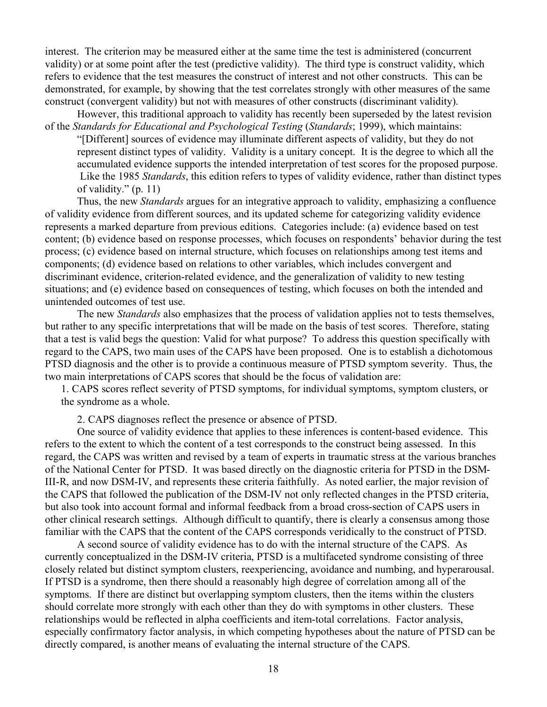interest. The criterion may be measured either at the same time the test is administered (concurrent validity) or at some point after the test (predictive validity). The third type is construct validity, which refers to evidence that the test measures the construct of interest and not other constructs. This can be demonstrated, for example, by showing that the test correlates strongly with other measures of the same construct (convergent validity) but not with measures of other constructs (discriminant validity).

 However, this traditional approach to validity has recently been superseded by the latest revision of the *Standards for Educational and Psychological Testing* (*Standards*; 1999), which maintains:

 "[Different] sources of evidence may illuminate different aspects of validity, but they do not represent distinct types of validity. Validity is a unitary concept. It is the degree to which all the accumulated evidence supports the intended interpretation of test scores for the proposed purpose. Like the 1985 *Standards*, this edition refers to types of validity evidence, rather than distinct types of validity." (p. 11)

 Thus, the new *Standards* argues for an integrative approach to validity, emphasizing a confluence of validity evidence from different sources, and its updated scheme for categorizing validity evidence represents a marked departure from previous editions. Categories include: (a) evidence based on test content; (b) evidence based on response processes, which focuses on respondents' behavior during the test process; (c) evidence based on internal structure, which focuses on relationships among test items and components; (d) evidence based on relations to other variables, which includes convergent and discriminant evidence, criterion-related evidence, and the generalization of validity to new testing situations; and (e) evidence based on consequences of testing, which focuses on both the intended and unintended outcomes of test use.

 The new *Standards* also emphasizes that the process of validation applies not to tests themselves, but rather to any specific interpretations that will be made on the basis of test scores. Therefore, stating that a test is valid begs the question: Valid for what purpose? To address this question specifically with regard to the CAPS, two main uses of the CAPS have been proposed. One is to establish a dichotomous PTSD diagnosis and the other is to provide a continuous measure of PTSD symptom severity. Thus, the two main interpretations of CAPS scores that should be the focus of validation are:

 1. CAPS scores reflect severity of PTSD symptoms, for individual symptoms, symptom clusters, or the syndrome as a whole.

2. CAPS diagnoses reflect the presence or absence of PTSD.

 One source of validity evidence that applies to these inferences is content-based evidence. This refers to the extent to which the content of a test corresponds to the construct being assessed. In this regard, the CAPS was written and revised by a team of experts in traumatic stress at the various branches of the National Center for PTSD. It was based directly on the diagnostic criteria for PTSD in the DSM- III-R, and now DSM-IV, and represents these criteria faithfully. As noted earlier, the major revision of the CAPS that followed the publication of the DSM-IV not only reflected changes in the PTSD criteria, but also took into account formal and informal feedback from a broad cross-section of CAPS users in other clinical research settings. Although difficult to quantify, there is clearly a consensus among those familiar with the CAPS that the content of the CAPS corresponds veridically to the construct of PTSD.

 A second source of validity evidence has to do with the internal structure of the CAPS. As currently conceptualized in the DSM-IV criteria, PTSD is a multifaceted syndrome consisting of three closely related but distinct symptom clusters, reexperiencing, avoidance and numbing, and hyperarousal. If PTSD is a syndrome, then there should a reasonably high degree of correlation among all of the symptoms. If there are distinct but overlapping symptom clusters, then the items within the clusters should correlate more strongly with each other than they do with symptoms in other clusters. These relationships would be reflected in alpha coefficients and item-total correlations. Factor analysis, especially confirmatory factor analysis, in which competing hypotheses about the nature of PTSD can be directly compared, is another means of evaluating the internal structure of the CAPS.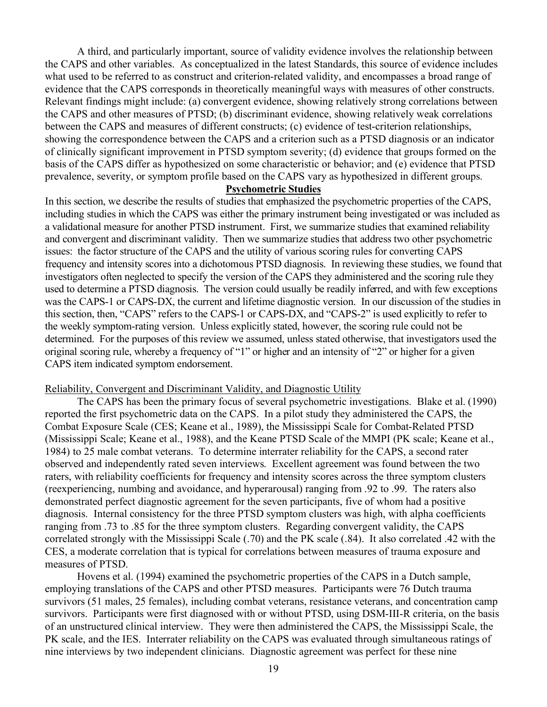A third, and particularly important, source of validity evidence involves the relationship between the CAPS and other variables. As conceptualized in the latest Standards, this source of evidence includes what used to be referred to as construct and criterion-related validity, and encompasses a broad range of evidence that the CAPS corresponds in theoretically meaningful ways with measures of other constructs. Relevant findings might include: (a) convergent evidence, showing relatively strong correlations between the CAPS and other measures of PTSD; (b) discriminant evidence, showing relatively weak correlations between the CAPS and measures of different constructs; (c) evidence of test-criterion relationships, showing the correspondence between the CAPS and a criterion such as a PTSD diagnosis or an indicator of clinically significant improvement in PTSD symptom severity; (d) evidence that groups formed on the basis of the CAPS differ as hypothesized on some characteristic or behavior; and (e) evidence that PTSD prevalence, severity, or symptom profile based on the CAPS vary as hypothesized in different groups.

#### **Psychometric Studies**

 In this section, we describe the results of studies that emphasized the psychometric properties of the CAPS, including studies in which the CAPS was either the primary instrument being investigated or was included as a validational measure for another PTSD instrument. First, we summarize studies that examined reliability and convergent and discriminant validity. Then we summarize studies that address two other psychometric issues: the factor structure of the CAPS and the utility of various scoring rules for converting CAPS frequency and intensity scores into a dichotomous PTSD diagnosis. In reviewing these studies, we found that investigators often neglected to specify the version of the CAPS they administered and the scoring rule they used to determine a PTSD diagnosis. The version could usually be readily inferred, and with few exceptions was the CAPS-1 or CAPS-DX, the current and lifetime diagnostic version. In our discussion of the studies in this section, then, "CAPS" refers to the CAPS-1 or CAPS-DX, and "CAPS-2" is used explicitly to refer to the weekly symptom-rating version. Unless explicitly stated, however, the scoring rule could not be determined. For the purposes of this review we assumed, unless stated otherwise, that investigators used the original scoring rule, whereby a frequency of "1" or higher and an intensity of "2" or higher for a given CAPS item indicated symptom endorsement.

#### Reliability, Convergent and Discriminant Validity, and Diagnostic Utility

 The CAPS has been the primary focus of several psychometric investigations. Blake et al. (1990) reported the first psychometric data on the CAPS. In a pilot study they administered the CAPS, the Combat Exposure Scale (CES; Keane et al., 1989), the Mississippi Scale for Combat-Related PTSD (Mississippi Scale; Keane et al., 1988), and the Keane PTSD Scale of the MMPI (PK scale; Keane et al., 1984) to 25 male combat veterans. To determine interrater reliability for the CAPS, a second rater observed and independently rated seven interviews. Excellent agreement was found between the two raters, with reliability coefficients for frequency and intensity scores across the three symptom clusters (reexperiencing, numbing and avoidance, and hyperarousal) ranging from .92 to .99. The raters also demonstrated perfect diagnostic agreement for the seven participants, five of whom had a positive diagnosis. Internal consistency for the three PTSD symptom clusters was high, with alpha coefficients ranging from .73 to .85 for the three symptom clusters. Regarding convergent validity, the CAPS correlated strongly with the Mississippi Scale (.70) and the PK scale (.84). It also correlated .42 with the CES, a moderate correlation that is typical for correlations between measures of trauma exposure and measures of PTSD.

 Hovens et al. (1994) examined the psychometric properties of the CAPS in a Dutch sample, employing translations of the CAPS and other PTSD measures. Participants were 76 Dutch trauma survivors (51 males, 25 females), including combat veterans, resistance veterans, and concentration camp survivors. Participants were first diagnosed with or without PTSD, using DSM-III-R criteria, on the basis of an unstructured clinical interview. They were then administered the CAPS, the Mississippi Scale, the PK scale, and the IES. Interrater reliability on the CAPS was evaluated through simultaneous ratings of nine interviews by two independent clinicians. Diagnostic agreement was perfect for these nine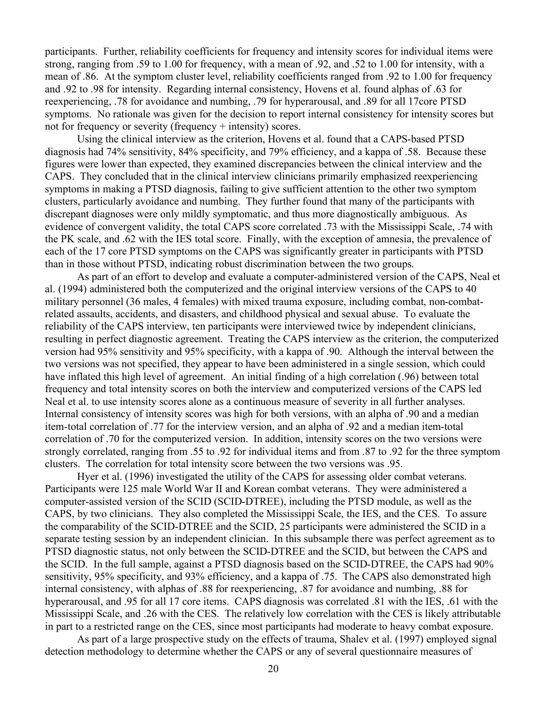participants. Further, reliability coefficients for frequency and intensity scores for individual items were strong, ranging from .59 to 1.00 for frequency, with a mean of .92, and .52 to 1.00 for intensity, with a mean of .86. At the symptom cluster level, reliability coefficients ranged from .92 to 1.00 for frequency and .92 to .98 for intensity. Regarding internal consistency, Hovens et al. found alphas of .63 for reexperiencing, .78 for avoidance and numbing, .79 for hyperarousal, and .89 for all 17core PTSD symptoms. No rationale was given for the decision to report internal consistency for intensity scores but not for frequency or severity (frequency + intensity) scores.

 Using the clinical interview as the criterion, Hovens et al. found that a CAPS-based PTSD diagnosis had 74% sensitivity, 84% specificity, and 79% efficiency, and a kappa of .58. Because these figures were lower than expected, they examined discrepancies between the clinical interview and the CAPS. They concluded that in the clinical interview clinicians primarily emphasized reexperiencing symptoms in making a PTSD diagnosis, failing to give sufficient attention to the other two symptom clusters, particularly avoidance and numbing. They further found that many of the participants with discrepant diagnoses were only mildly symptomatic, and thus more diagnostically ambiguous. As evidence of convergent validity, the total CAPS score correlated .73 with the Mississippi Scale, .74 with the PK scale, and .62 with the IES total score. Finally, with the exception of amnesia, the prevalence of each of the 17 core PTSD symptoms on the CAPS was significantly greater in participants with PTSD than in those without PTSD, indicating robust discrimination between the two groups.

 As part of an effort to develop and evaluate a computer-administered version of the CAPS, Neal et al. (1994) administered both the computerized and the original interview versions of the CAPS to 40 military personnel (36 males, 4 females) with mixed trauma exposure, including combat, non-combat- related assaults, accidents, and disasters, and childhood physical and sexual abuse. To evaluate the reliability of the CAPS interview, ten participants were interviewed twice by independent clinicians, resulting in perfect diagnostic agreement. Treating the CAPS interview as the criterion, the computerized version had 95% sensitivity and 95% specificity, with a kappa of .90. Although the interval between the two versions was not specified, they appear to have been administered in a single session, which could have inflated this high level of agreement. An initial finding of a high correlation (.96) between total frequency and total intensity scores on both the interview and computerized versions of the CAPS led Neal et al. to use intensity scores alone as a continuous measure of severity in all further analyses. Internal consistency of intensity scores was high for both versions, with an alpha of .90 and a median item-total correlation of .77 for the interview version, and an alpha of .92 and a median item-total correlation of .70 for the computerized version. In addition, intensity scores on the two versions were strongly correlated, ranging from .55 to .92 for individual items and from .87 to .92 for the three symptom clusters. The correlation for total intensity score between the two versions was .95.

 Hyer et al. (1996) investigated the utility of the CAPS for assessing older combat veterans. Participants were 125 male World War II and Korean combat veterans. They were administered a computer-assisted version of the SCID (SCID-DTREE), including the PTSD module, as well as the CAPS, by two clinicians. They also completed the Mississippi Scale, the IES, and the CES. To assure the comparability of the SCID-DTREE and the SCID, 25 participants were administered the SCID in a separate testing session by an independent clinician. In this subsample there was perfect agreement as to PTSD diagnostic status, not only between the SCID-DTREE and the SCID, but between the CAPS and the SCID. In the full sample, against a PTSD diagnosis based on the SCID-DTREE, the CAPS had 90% sensitivity, 95% specificity, and 93% efficiency, and a kappa of .75. The CAPS also demonstrated high internal consistency, with alphas of .88 for reexperiencing, .87 for avoidance and numbing, .88 for hyperarousal, and .95 for all 17 core items. CAPS diagnosis was correlated .81 with the IES, .61 with the Mississippi Scale, and .26 with the CES. The relatively low correlation with the CES is likely attributable in part to a restricted range on the CES, since most participants had moderate to heavy combat exposure.

 As part of a large prospective study on the effects of trauma, Shalev et al. (1997) employed signal detection methodology to determine whether the CAPS or any of several questionnaire measures of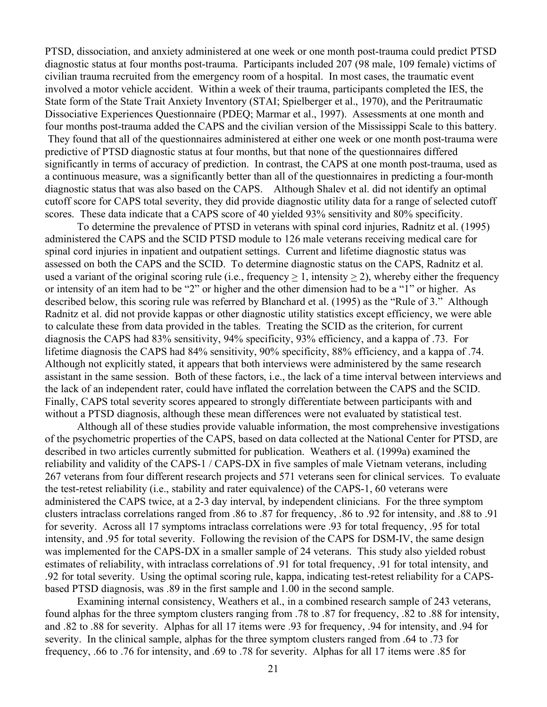PTSD, dissociation, and anxiety administered at one week or one month post-trauma could predict PTSD diagnostic status at four months post-trauma. Participants included 207 (98 male, 109 female) victims of civilian trauma recruited from the emergency room of a hospital. In most cases, the traumatic event involved a motor vehicle accident. Within a week of their trauma, participants completed the IES, the State form of the State Trait Anxiety Inventory (STAI; Spielberger et al., 1970), and the Peritraumatic Dissociative Experiences Questionnaire (PDEQ; Marmar et al., 1997). Assessments at one month and four months post-trauma added the CAPS and the civilian version of the Mississippi Scale to this battery. They found that all of the questionnaires administered at either one week or one month post-trauma were predictive of PTSD diagnostic status at four months, but that none of the questionnaires differed significantly in terms of accuracy of prediction. In contrast, the CAPS at one month post-trauma, used as a continuous measure, was a significantly better than all of the questionnaires in predicting a four-month diagnostic status that was also based on the CAPS. Although Shalev et al. did not identify an optimal cutoff score for CAPS total severity, they did provide diagnostic utility data for a range of selected cutoff scores. These data indicate that a CAPS score of 40 yielded 93% sensitivity and 80% specificity.

 To determine the prevalence of PTSD in veterans with spinal cord injuries, Radnitz et al. (1995) administered the CAPS and the SCID PTSD module to 126 male veterans receiving medical care for spinal cord injuries in inpatient and outpatient settings. Current and lifetime diagnostic status was assessed on both the CAPS and the SCID. To determine diagnostic status on the CAPS, Radnitz et al. used a variant of the original scoring rule (i.e., frequency  $\geq 1$ , intensity  $\geq 2$ ), whereby either the frequency or intensity of an item had to be "2" or higher and the other dimension had to be a "1" or higher. As described below, this scoring rule was referred by Blanchard et al. (1995) as the "Rule of 3." Although Radnitz et al. did not provide kappas or other diagnostic utility statistics except efficiency, we were able to calculate these from data provided in the tables. Treating the SCID as the criterion, for current diagnosis the CAPS had 83% sensitivity, 94% specificity, 93% efficiency, and a kappa of .73. For lifetime diagnosis the CAPS had 84% sensitivity, 90% specificity, 88% efficiency, and a kappa of .74. Although not explicitly stated, it appears that both interviews were administered by the same research assistant in the same session. Both of these factors, i.e., the lack of a time interval between interviews and the lack of an independent rater, could have inflated the correlation between the CAPS and the SCID. Finally, CAPS total severity scores appeared to strongly differentiate between participants with and without a PTSD diagnosis, although these mean differences were not evaluated by statistical test.

 Although all of these studies provide valuable information, the most comprehensive investigations of the psychometric properties of the CAPS, based on data collected at the National Center for PTSD, are described in two articles currently submitted for publication. Weathers et al. (1999a) examined the reliability and validity of the CAPS-1 / CAPS-DX in five samples of male Vietnam veterans, including 267 veterans from four different research projects and 571 veterans seen for clinical services. To evaluate the test-retest reliability (i.e., stability and rater equivalence) of the CAPS-1, 60 veterans were administered the CAPS twice, at a 2-3 day interval, by independent clinicians. For the three symptom clusters intraclass correlations ranged from .86 to .87 for frequency, .86 to .92 for intensity, and .88 to .91 for severity. Across all 17 symptoms intraclass correlations were .93 for total frequency, .95 for total intensity, and .95 for total severity. Following the revision of the CAPS for DSM-IV, the same design was implemented for the CAPS-DX in a smaller sample of 24 veterans. This study also yielded robust estimates of reliability, with intraclass correlations of .91 for total frequency, .91 for total intensity, and .92 for total severity. Using the optimal scoring rule, kappa, indicating test-retest reliability for a CAPS-based PTSD diagnosis, was .89 in the first sample and 1.00 in the second sample.

 Examining internal consistency, Weathers et al., in a combined research sample of 243 veterans, found alphas for the three symptom clusters ranging from .78 to .87 for frequency, .82 to .88 for intensity, and .82 to .88 for severity. Alphas for all 17 items were .93 for frequency, .94 for intensity, and .94 for severity. In the clinical sample, alphas for the three symptom clusters ranged from .64 to .73 for frequency, .66 to .76 for intensity, and .69 to .78 for severity. Alphas for all 17 items were .85 for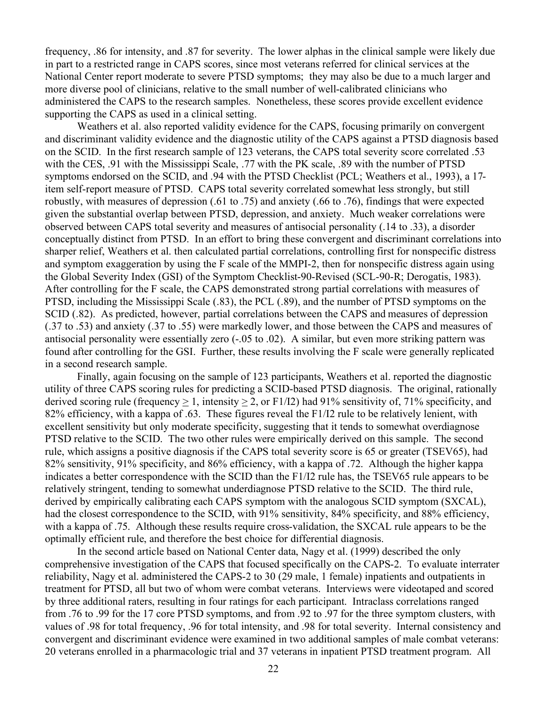frequency, .86 for intensity, and .87 for severity. The lower alphas in the clinical sample were likely due in part to a restricted range in CAPS scores, since most veterans referred for clinical services at the National Center report moderate to severe PTSD symptoms; they may also be due to a much larger and more diverse pool of clinicians, relative to the small number of well-calibrated clinicians who administered the CAPS to the research samples. Nonetheless, these scores provide excellent evidence supporting the CAPS as used in a clinical setting.

 Weathers et al. also reported validity evidence for the CAPS, focusing primarily on convergent and discriminant validity evidence and the diagnostic utility of the CAPS against a PTSD diagnosis based on the SCID. In the first research sample of 123 veterans, the CAPS total severity score correlated .53 with the CES, .91 with the Mississippi Scale, .77 with the PK scale, .89 with the number of PTSD symptoms endorsed on the SCID, and .94 with the PTSD Checklist (PCL; Weathers et al., 1993), a 17- item self-report measure of PTSD. CAPS total severity correlated somewhat less strongly, but still robustly, with measures of depression (.61 to .75) and anxiety (.66 to .76), findings that were expected given the substantial overlap between PTSD, depression, and anxiety. Much weaker correlations were observed between CAPS total severity and measures of antisocial personality (.14 to .33), a disorder conceptually distinct from PTSD. In an effort to bring these convergent and discriminant correlations into sharper relief, Weathers et al. then calculated partial correlations, controlling first for nonspecific distress and symptom exaggeration by using the F scale of the MMPI-2, then for nonspecific distress again using the Global Severity Index (GSI) of the Symptom Checklist-90-Revised (SCL-90-R; Derogatis, 1983). After controlling for the F scale, the CAPS demonstrated strong partial correlations with measures of PTSD, including the Mississippi Scale (.83), the PCL (.89), and the number of PTSD symptoms on the SCID (.82). As predicted, however, partial correlations between the CAPS and measures of depression (.37 to .53) and anxiety (.37 to .55) were markedly lower, and those between the CAPS and measures of antisocial personality were essentially zero (-.05 to .02). A similar, but even more striking pattern was found after controlling for the GSI. Further, these results involving the F scale were generally replicated in a second research sample. in a second research sample. Finally, again focusing on the sample of 123 participants, Weathers et al. reported the diagnostic

 utility of three CAPS scoring rules for predicting a SCID-based PTSD diagnosis. The original, rationally derived scoring rule (frequency  $\geq 1$ , intensity  $\geq 2$ , or F1/I2) had 91% sensitivity of, 71% specificity, and 82% efficiency, with a kappa of .63. These figures reveal the F1/I2 rule to be relatively lenient, with excellent sensitivity but only moderate specificity, suggesting that it tends to somewhat overdiagnose PTSD relative to the SCID. The two other rules were empirically derived on this sample. The second rule, which assigns a positive diagnosis if the CAPS total severity score is 65 or greater (TSEV65), had 82% sensitivity, 91% specificity, and 86% efficiency, with a kappa of .72. Although the higher kappa indicates a better correspondence with the SCID than the F1/I2 rule has, the TSEV65 rule appears to be relatively stringent, tending to somewhat underdiagnose PTSD relative to the SCID. The third rule, derived by empirically calibrating each CAPS symptom with the analogous SCID symptom (SXCAL), had the closest correspondence to the SCID, with 91% sensitivity, 84% specificity, and 88% efficiency, with a kappa of .75. Although these results require cross-validation, the SXCAL rule appears to be the optimally efficient rule, and therefore the best choice for differential diagnosis.

 In the second article based on National Center data, Nagy et al. (1999) described the only comprehensive investigation of the CAPS that focused specifically on the CAPS-2. To evaluate interrater reliability, Nagy et al. administered the CAPS-2 to 30 (29 male, 1 female) inpatients and outpatients in treatment for PTSD, all but two of whom were combat veterans. Interviews were videotaped and scored by three additional raters, resulting in four ratings for each participant. Intraclass correlations ranged from .76 to .99 for the 17 core PTSD symptoms, and from .92 to .97 for the three symptom clusters, with values of .98 for total frequency, .96 for total intensity, and .98 for total severity. Internal consistency and convergent and discriminant evidence were examined in two additional samples of male combat veterans: 20 veterans enrolled in a pharmacologic trial and 37 veterans in inpatient PTSD treatment program. All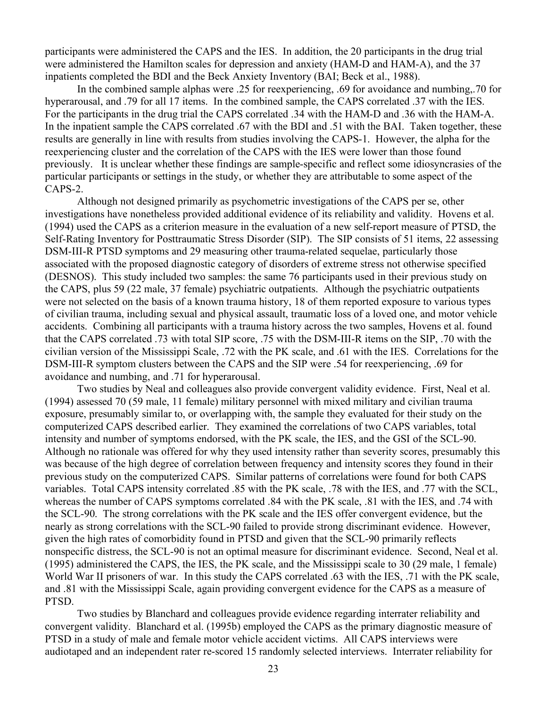participants were administered the CAPS and the IES. In addition, the 20 participants in the drug trial were administered the Hamilton scales for depression and anxiety (HAM-D and HAM-A), and the 37 inpatients completed the BDI and the Beck Anxiety Inventory (BAI; Beck et al., 1988).

 In the combined sample alphas were .25 for reexperiencing, .69 for avoidance and numbing,.70 for hyperarousal, and .79 for all 17 items. In the combined sample, the CAPS correlated .37 with the IES. For the participants in the drug trial the CAPS correlated .34 with the HAM-D and .36 with the HAM-A. In the inpatient sample the CAPS correlated .67 with the BDI and .51 with the BAI. Taken together, these results are generally in line with results from studies involving the CAPS-1. However, the alpha for the reexperiencing cluster and the correlation of the CAPS with the IES were lower than those found previously. It is unclear whether these findings are sample-specific and reflect some idiosyncrasies of the particular participants or settings in the study, or whether they are attributable to some aspect of the CAPS-2.

 CAPS-2. Although not designed primarily as psychometric investigations of the CAPS per se, other investigations have nonetheless provided additional evidence of its reliability and validity. Hovens et al. (1994) used the CAPS as a criterion measure in the evaluation of a new self-report measure of PTSD, the Self-Rating Inventory for Posttraumatic Stress Disorder (SIP). The SIP consists of 51 items, 22 assessing DSM-III-R PTSD symptoms and 29 measuring other trauma-related sequelae, particularly those associated with the proposed diagnostic category of disorders of extreme stress not otherwise specified (DESNOS). This study included two samples: the same 76 participants used in their previous study on the CAPS, plus 59 (22 male, 37 female) psychiatric outpatients. Although the psychiatric outpatients were not selected on the basis of a known trauma history, 18 of them reported exposure to various types of civilian trauma, including sexual and physical assault, traumatic loss of a loved one, and motor vehicle accidents. Combining all participants with a trauma history across the two samples, Hovens et al. found that the CAPS correlated .73 with total SIP score, .75 with the DSM-III-R items on the SIP, .70 with the civilian version of the Mississippi Scale, .72 with the PK scale, and .61 with the IES. Correlations for the DSM-III-R symptom clusters between the CAPS and the SIP were .54 for reexperiencing, .69 for avoidance and numbing, and .71 for hyperarousal.

 Two studies by Neal and colleagues also provide convergent validity evidence. First, Neal et al. (1994) assessed 70 (59 male, 11 female) military personnel with mixed military and civilian trauma exposure, presumably similar to, or overlapping with, the sample they evaluated for their study on the computerized CAPS described earlier. They examined the correlations of two CAPS variables, total intensity and number of symptoms endorsed, with the PK scale, the IES, and the GSI of the SCL-90. Although no rationale was offered for why they used intensity rather than severity scores, presumably this was because of the high degree of correlation between frequency and intensity scores they found in their previous study on the computerized CAPS. Similar patterns of correlations were found for both CAPS variables. Total CAPS intensity correlated .85 with the PK scale, .78 with the IES, and .77 with the SCL, whereas the number of CAPS symptoms correlated .84 with the PK scale, .81 with the IES, and .74 with the SCL-90. The strong correlations with the PK scale and the IES offer convergent evidence, but the nearly as strong correlations with the SCL-90 failed to provide strong discriminant evidence. However, given the high rates of comorbidity found in PTSD and given that the SCL-90 primarily reflects nonspecific distress, the SCL-90 is not an optimal measure for discriminant evidence. Second, Neal et al. (1995) administered the CAPS, the IES, the PK scale, and the Mississippi scale to 30 (29 male, 1 female) World War II prisoners of war. In this study the CAPS correlated .63 with the IES, .71 with the PK scale, and .81 with the Mississippi Scale, again providing convergent evidence for the CAPS as a measure of PTSD.

 PTSD. Two studies by Blanchard and colleagues provide evidence regarding interrater reliability and convergent validity. Blanchard et al. (1995b) employed the CAPS as the primary diagnostic measure of PTSD in a study of male and female motor vehicle accident victims. All CAPS interviews were audiotaped and an independent rater re-scored 15 randomly selected interviews. Interrater reliability for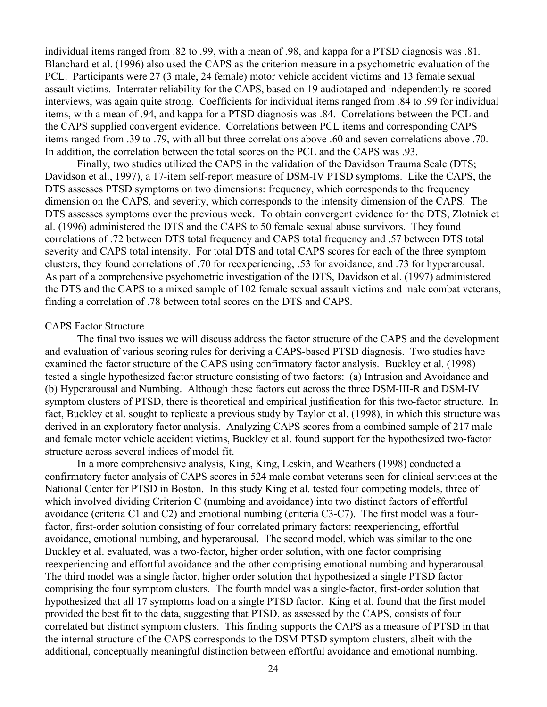individual items ranged from .82 to .99, with a mean of .98, and kappa for a PTSD diagnosis was .81. Blanchard et al. (1996) also used the CAPS as the criterion measure in a psychometric evaluation of the PCL. Participants were 27 (3 male, 24 female) motor vehicle accident victims and 13 female sexual assault victims. Interrater reliability for the CAPS, based on 19 audiotaped and independently re-scored interviews, was again quite strong. Coefficients for individual items ranged from .84 to .99 for individual items, with a mean of .94, and kappa for a PTSD diagnosis was .84. Correlations between the PCL and the CAPS supplied convergent evidence. Correlations between PCL items and corresponding CAPS items ranged from .39 to .79, with all but three correlations above .60 and seven correlations above .70. In addition, the correlation between the total scores on the PCL and the CAPS was .93.

 Finally, two studies utilized the CAPS in the validation of the Davidson Trauma Scale (DTS; Davidson et al., 1997), a 17-item self-report measure of DSM-IV PTSD symptoms. Like the CAPS, the DTS assesses PTSD symptoms on two dimensions: frequency, which corresponds to the frequency dimension on the CAPS, and severity, which corresponds to the intensity dimension of the CAPS. The DTS assesses symptoms over the previous week. To obtain convergent evidence for the DTS, Zlotnick et al. (1996) administered the DTS and the CAPS to 50 female sexual abuse survivors. They found correlations of .72 between DTS total frequency and CAPS total frequency and .57 between DTS total severity and CAPS total intensity. For total DTS and total CAPS scores for each of the three symptom clusters, they found correlations of .70 for reexperiencing, .53 for avoidance, and .73 for hyperarousal. As part of a comprehensive psychometric investigation of the DTS, Davidson et al. (1997) administered the DTS and the CAPS to a mixed sample of 102 female sexual assault victims and male combat veterans, finding a correlation of .78 between total scores on the DTS and CAPS.

#### CAPS Factor Structure

 The final two issues we will discuss address the factor structure of the CAPS and the development and evaluation of various scoring rules for deriving a CAPS-based PTSD diagnosis. Two studies have examined the factor structure of the CAPS using confirmatory factor analysis. Buckley et al. (1998) tested a single hypothesized factor structure consisting of two factors: (a) Intrusion and Avoidance and (b) Hyperarousal and Numbing. Although these factors cut across the three DSM-III-R and DSM-IV symptom clusters of PTSD, there is theoretical and empirical justification for this two-factor structure. In fact, Buckley et al. sought to replicate a previous study by Taylor et al. (1998), in which this structure was derived in an exploratory factor analysis. Analyzing CAPS scores from a combined sample of 217 male and female motor vehicle accident victims, Buckley et al. found support for the hypothesized two-factor structure across several indices of model fit.

 In a more comprehensive analysis, King, King, Leskin, and Weathers (1998) conducted a confirmatory factor analysis of CAPS scores in 524 male combat veterans seen for clinical services at the National Center for PTSD in Boston. In this study King et al. tested four competing models, three of which involved dividing Criterion C (numbing and avoidance) into two distinct factors of effortful avoidance (criteria C1 and C2) and emotional numbing (criteria C3-C7). The first model was a four- factor, first-order solution consisting of four correlated primary factors: reexperiencing, effortful avoidance, emotional numbing, and hyperarousal. The second model, which was similar to the one Buckley et al. evaluated, was a two-factor, higher order solution, with one factor comprising reexperiencing and effortful avoidance and the other comprising emotional numbing and hyperarousal. The third model was a single factor, higher order solution that hypothesized a single PTSD factor comprising the four symptom clusters. The fourth model was a single-factor, first-order solution that hypothesized that all 17 symptoms load on a single PTSD factor. King et al. found that the first model provided the best fit to the data, suggesting that PTSD, as assessed by the CAPS, consists of four correlated but distinct symptom clusters. This finding supports the CAPS as a measure of PTSD in that the internal structure of the CAPS corresponds to the DSM PTSD symptom clusters, albeit with the additional, conceptually meaningful distinction between effortful avoidance and emotional numbing.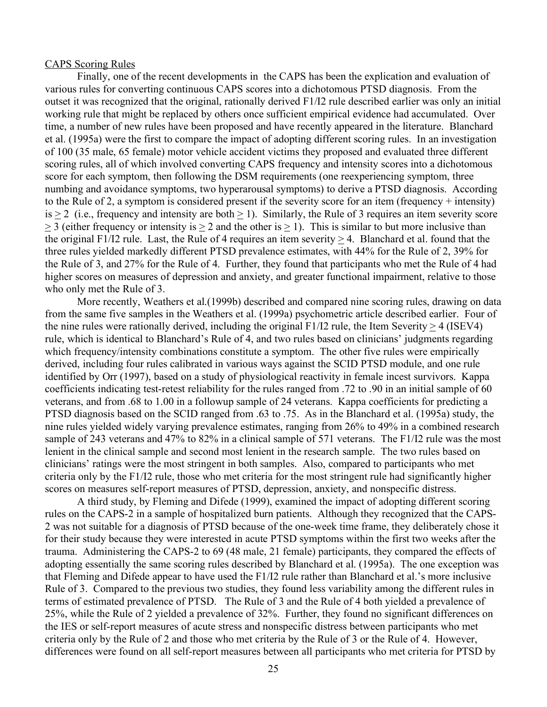#### CAPS Scoring Rules

 Finally, one of the recent developments in the CAPS has been the explication and evaluation of various rules for converting continuous CAPS scores into a dichotomous PTSD diagnosis. From the outset it was recognized that the original, rationally derived F1/I2 rule described earlier was only an initial working rule that might be replaced by others once sufficient empirical evidence had accumulated. Over time, a number of new rules have been proposed and have recently appeared in the literature. Blanchard et al. (1995a) were the first to compare the impact of adopting different scoring rules. In an investigation of 100 (35 male, 65 female) motor vehicle accident victims they proposed and evaluated three different scoring rules, all of which involved converting CAPS frequency and intensity scores into a dichotomous score for each symptom, then following the DSM requirements (one reexperiencing symptom, three numbing and avoidance symptoms, two hyperarousal symptoms) to derive a PTSD diagnosis. According to the Rule of 2, a symptom is considered present if the severity score for an item (frequency + intensity) is  $\geq 2$  (i.e., frequency and intensity are both  $\geq 1$ ). Similarly, the Rule of 3 requires an item severity score  $\geq$  3 (either frequency or intensity is  $\geq$  2 and the other is  $\geq$  1). This is similar to but more inclusive than the original F1/I2 rule. Last, the Rule of 4 requires an item severity  $\geq 4$ . Blanchard et al. found that the three rules yielded markedly different PTSD prevalence estimates, with 44% for the Rule of 2, 39% for the Rule of 3, and 27% for the Rule of 4. Further, they found that participants who met the Rule of 4 had higher scores on measures of depression and anxiety, and greater functional impairment, relative to those who only met the Rule of 3.

 More recently, Weathers et al.(1999b) described and compared nine scoring rules, drawing on data from the same five samples in the Weathers et al. (1999a) psychometric article described earlier. Four of the nine rules were rationally derived, including the original F1/I2 rule, the Item Severity  $\geq$  4 (ISEV4) rule, which is identical to Blanchard's Rule of 4, and two rules based on clinicians' judgments regarding which frequency/intensity combinations constitute a symptom. The other five rules were empirically derived, including four rules calibrated in various ways against the SCID PTSD module, and one rule identified by Orr (1997), based on a study of physiological reactivity in female incest survivors. Kappa coefficients indicating test-retest reliability for the rules ranged from .72 to .90 in an initial sample of 60 veterans, and from .68 to 1.00 in a followup sample of 24 veterans. Kappa coefficients for predicting a PTSD diagnosis based on the SCID ranged from .63 to .75. As in the Blanchard et al. (1995a) study, the nine rules yielded widely varying prevalence estimates, ranging from 26% to 49% in a combined research sample of 243 veterans and 47% to 82% in a clinical sample of 571 veterans. The F1/I2 rule was the most lenient in the clinical sample and second most lenient in the research sample. The two rules based on clinicians' ratings were the most stringent in both samples. Also, compared to participants who met criteria only by the F1/I2 rule, those who met criteria for the most stringent rule had significantly higher scores on measures self-report measures of PTSD, depression, anxiety, and nonspecific distress.

 A third study, by Fleming and Difede (1999), examined the impact of adopting different scoring rules on the CAPS-2 in a sample of hospitalized burn patients. Although they recognized that the CAPS- 2 was not suitable for a diagnosis of PTSD because of the one-week time frame, they deliberately chose it for their study because they were interested in acute PTSD symptoms within the first two weeks after the trauma. Administering the CAPS-2 to 69 (48 male, 21 female) participants, they compared the effects of adopting essentially the same scoring rules described by Blanchard et al. (1995a). The one exception was that Fleming and Difede appear to have used the F1/I2 rule rather than Blanchard et al.'s more inclusive Rule of 3. Compared to the previous two studies, they found less variability among the different rules in terms of estimated prevalence of PTSD. The Rule of 3 and the Rule of 4 both yielded a prevalence of 25%, while the Rule of 2 yielded a prevalence of 32%. Further, they found no significant differences on the IES or self-report measures of acute stress and nonspecific distress between participants who met criteria only by the Rule of 2 and those who met criteria by the Rule of 3 or the Rule of 4. However, differences were found on all self-report measures between all participants who met criteria for PTSD by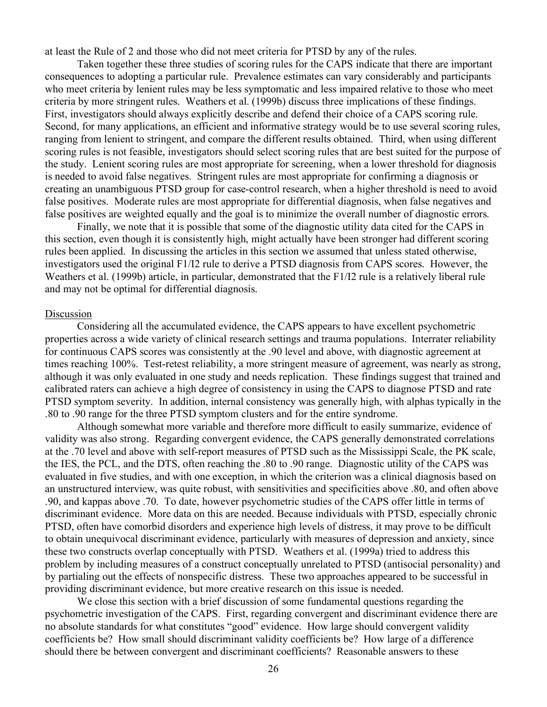at least the Rule of 2 and those who did not meet criteria for PTSD by any of the rules.

 Taken together these three studies of scoring rules for the CAPS indicate that there are important consequences to adopting a particular rule. Prevalence estimates can vary considerably and participants who meet criteria by lenient rules may be less symptomatic and less impaired relative to those who meet criteria by more stringent rules. Weathers et al. (1999b) discuss three implications of these findings. First, investigators should always explicitly describe and defend their choice of a CAPS scoring rule. Second, for many applications, an efficient and informative strategy would be to use several scoring rules, ranging from lenient to stringent, and compare the different results obtained. Third, when using different scoring rules is not feasible, investigators should select scoring rules that are best suited for the purpose of the study. Lenient scoring rules are most appropriate for screening, when a lower threshold for diagnosis is needed to avoid false negatives. Stringent rules are most appropriate for confirming a diagnosis or creating an unambiguous PTSD group for case-control research, when a higher threshold is need to avoid false positives. Moderate rules are most appropriate for differential diagnosis, when false negatives and false positives are weighted equally and the goal is to minimize the overall number of diagnostic errors.

 Finally, we note that it is possible that some of the diagnostic utility data cited for the CAPS in this section, even though it is consistently high, might actually have been stronger had different scoring rules been applied. In discussing the articles in this section we assumed that unless stated otherwise, investigators used the original F1/I2 rule to derive a PTSD diagnosis from CAPS scores. However, the Weathers et al. (1999b) article, in particular, demonstrated that the F1/I2 rule is a relatively liberal rule and may not be optimal for differential diagnosis.

#### Discussion

 Considering all the accumulated evidence, the CAPS appears to have excellent psychometric properties across a wide variety of clinical research settings and trauma populations. Interrater reliability for continuous CAPS scores was consistently at the .90 level and above, with diagnostic agreement at times reaching 100%. Test-retest reliability, a more stringent measure of agreement, was nearly as strong, although it was only evaluated in one study and needs replication. These findings suggest that trained and calibrated raters can achieve a high degree of consistency in using the CAPS to diagnose PTSD and rate PTSD symptom severity. In addition, internal consistency was generally high, with alphas typically in the .80 to .90 range for the three PTSD symptom clusters and for the entire syndrome.

 Although somewhat more variable and therefore more difficult to easily summarize, evidence of validity was also strong. Regarding convergent evidence, the CAPS generally demonstrated correlations at the .70 level and above with self-report measures of PTSD such as the Mississippi Scale, the PK scale, the IES, the PCL, and the DTS, often reaching the .80 to .90 range. Diagnostic utility of the CAPS was evaluated in five studies, and with one exception, in which the criterion was a clinical diagnosis based on an unstructured interview, was quite robust, with sensitivities and specificities above .80, and often above .90, and kappas above .70. To date, however psychometric studies of the CAPS offer little in terms of discriminant evidence. More data on this are needed. Because individuals with PTSD, especially chronic PTSD, often have comorbid disorders and experience high levels of distress, it may prove to be difficult to obtain unequivocal discriminant evidence, particularly with measures of depression and anxiety, since these two constructs overlap conceptually with PTSD. Weathers et al. (1999a) tried to address this problem by including measures of a construct conceptually unrelated to PTSD (antisocial personality) and by partialing out the effects of nonspecific distress. These two approaches appeared to be successful in providing discriminant evidence, but more creative research on this issue is needed.

 We close this section with a brief discussion of some fundamental questions regarding the psychometric investigation of the CAPS. First, regarding convergent and discriminant evidence there are no absolute standards for what constitutes "good" evidence. How large should convergent validity coefficients be? How small should discriminant validity coefficients be? How large of a difference should there be between convergent and discriminant coefficients? Reasonable answers to these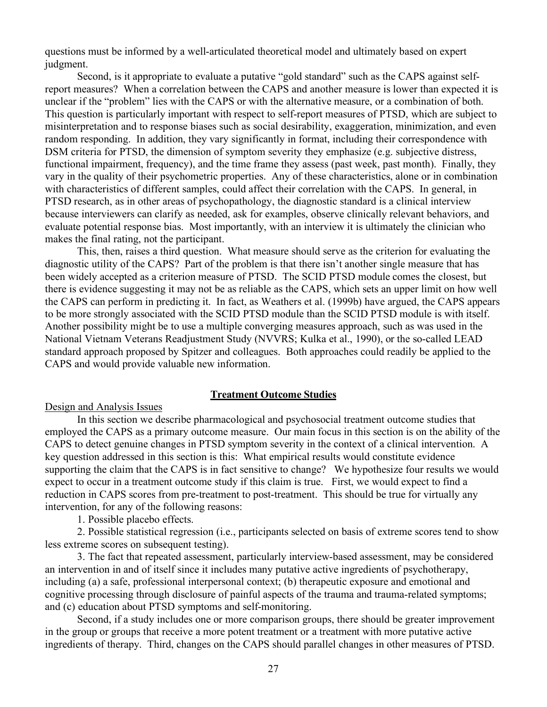questions must be informed by a well-articulated theoretical model and ultimately based on expert judgment.

 Second, is it appropriate to evaluate a putative "gold standard" such as the CAPS against self- report measures? When a correlation between the CAPS and another measure is lower than expected it is unclear if the "problem" lies with the CAPS or with the alternative measure, or a combination of both. This question is particularly important with respect to self-report measures of PTSD, which are subject to misinterpretation and to response biases such as social desirability, exaggeration, minimization, and even random responding. In addition, they vary significantly in format, including their correspondence with DSM criteria for PTSD, the dimension of symptom severity they emphasize (e.g. subjective distress, functional impairment, frequency), and the time frame they assess (past week, past month). Finally, they vary in the quality of their psychometric properties. Any of these characteristics, alone or in combination with characteristics of different samples, could affect their correlation with the CAPS. In general, in PTSD research, as in other areas of psychopathology, the diagnostic standard is a clinical interview because interviewers can clarify as needed, ask for examples, observe clinically relevant behaviors, and evaluate potential response bias. Most importantly, with an interview it is ultimately the clinician who makes the final rating, not the participant.

 This, then, raises a third question. What measure should serve as the criterion for evaluating the diagnostic utility of the CAPS? Part of the problem is that there isn't another single measure that has been widely accepted as a criterion measure of PTSD. The SCID PTSD module comes the closest, but there is evidence suggesting it may not be as reliable as the CAPS, which sets an upper limit on how well the CAPS can perform in predicting it. In fact, as Weathers et al. (1999b) have argued, the CAPS appears to be more strongly associated with the SCID PTSD module than the SCID PTSD module is with itself. Another possibility might be to use a multiple converging measures approach, such as was used in the National Vietnam Veterans Readjustment Study (NVVRS; Kulka et al., 1990), or the so-called LEAD standard approach proposed by Spitzer and colleagues. Both approaches could readily be applied to the CAPS and would provide valuable new information.

#### **Treatment Outcome Studies**

#### Design and Analysis Issues

 In this section we describe pharmacological and psychosocial treatment outcome studies that employed the CAPS as a primary outcome measure. Our main focus in this section is on the ability of the CAPS to detect genuine changes in PTSD symptom severity in the context of a clinical intervention. A key question addressed in this section is this: What empirical results would constitute evidence supporting the claim that the CAPS is in fact sensitive to change? We hypothesize four results we would expect to occur in a treatment outcome study if this claim is true. First, we would expect to find a reduction in CAPS scores from pre-treatment to post-treatment. This should be true for virtually any intervention, for any of the following reasons:

1. Possible placebo effects.

 2. Possible statistical regression (i.e., participants selected on basis of extreme scores tend to show less extreme scores on subsequent testing).

 3. The fact that repeated assessment, particularly interview-based assessment, may be considered an intervention in and of itself since it includes many putative active ingredients of psychotherapy, including (a) a safe, professional interpersonal context; (b) therapeutic exposure and emotional and cognitive processing through disclosure of painful aspects of the trauma and trauma-related symptoms; and (c) education about PTSD symptoms and self-monitoring.

 Second, if a study includes one or more comparison groups, there should be greater improvement in the group or groups that receive a more potent treatment or a treatment with more putative active ingredients of therapy. Third, changes on the CAPS should parallel changes in other measures of PTSD.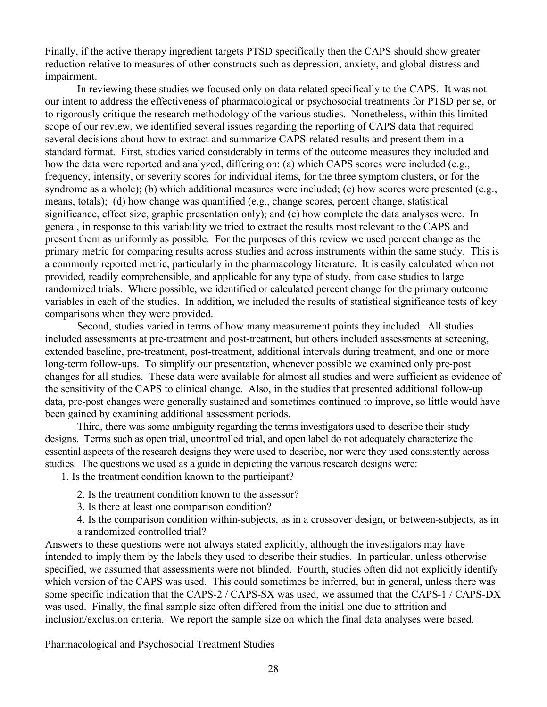Finally, if the active therapy ingredient targets PTSD specifically then the CAPS should show greater reduction relative to measures of other constructs such as depression, anxiety, and global distress and impairment.

 In reviewing these studies we focused only on data related specifically to the CAPS. It was not our intent to address the effectiveness of pharmacological or psychosocial treatments for PTSD per se, or to rigorously critique the research methodology of the various studies. Nonetheless, within this limited scope of our review, we identified several issues regarding the reporting of CAPS data that required several decisions about how to extract and summarize CAPS-related results and present them in a standard format. First, studies varied considerably in terms of the outcome measures they included and how the data were reported and analyzed, differing on: (a) which CAPS scores were included (e.g., frequency, intensity, or severity scores for individual items, for the three symptom clusters, or for the syndrome as a whole); (b) which additional measures were included; (c) how scores were presented (e.g., means, totals); (d) how change was quantified (e.g., change scores, percent change, statistical significance, effect size, graphic presentation only); and (e) how complete the data analyses were. In general, in response to this variability we tried to extract the results most relevant to the CAPS and present them as uniformly as possible. For the purposes of this review we used percent change as the primary metric for comparing results across studies and across instruments within the same study. This is a commonly reported metric, particularly in the pharmacology literature. It is easily calculated when not provided, readily comprehensible, and applicable for any type of study, from case studies to large randomized trials. Where possible, we identified or calculated percent change for the primary outcome variables in each of the studies. In addition, we included the results of statistical significance tests of key comparisons when they were provided.

 Second, studies varied in terms of how many measurement points they included. All studies included assessments at pre-treatment and post-treatment, but others included assessments at screening, extended baseline, pre-treatment, post-treatment, additional intervals during treatment, and one or more long-term follow-ups. To simplify our presentation, whenever possible we examined only pre-post changes for all studies. These data were available for almost all studies and were sufficient as evidence of the sensitivity of the CAPS to clinical change. Also, in the studies that presented additional follow-up data, pre-post changes were generally sustained and sometimes continued to improve, so little would have been gained by examining additional assessment periods.

 Third, there was some ambiguity regarding the terms investigators used to describe their study designs. Terms such as open trial, uncontrolled trial, and open label do not adequately characterize the essential aspects of the research designs they were used to describe, nor were they used consistently across studies. The questions we used as a guide in depicting the various research designs were:

1. Is the treatment condition known to the participant?

- 2. Is the treatment condition known to the assessor?
- 3. Is there at least one comparison condition?
- 4. Is the comparison condition within-subjects, as in a crossover design, or between-subjects, as in a randomized controlled trial?

 Answers to these questions were not always stated explicitly, although the investigators may have intended to imply them by the labels they used to describe their studies. In particular, unless otherwise specified, we assumed that assessments were not blinded. Fourth, studies often did not explicitly identify which version of the CAPS was used. This could sometimes be inferred, but in general, unless there was some specific indication that the CAPS-2 / CAPS-SX was used, we assumed that the CAPS-1 / CAPS-DX was used. Finally, the final sample size often differed from the initial one due to attrition and inclusion/exclusion criteria. We report the sample size on which the final data analyses were based.

Pharmacological and Psychosocial Treatment Studies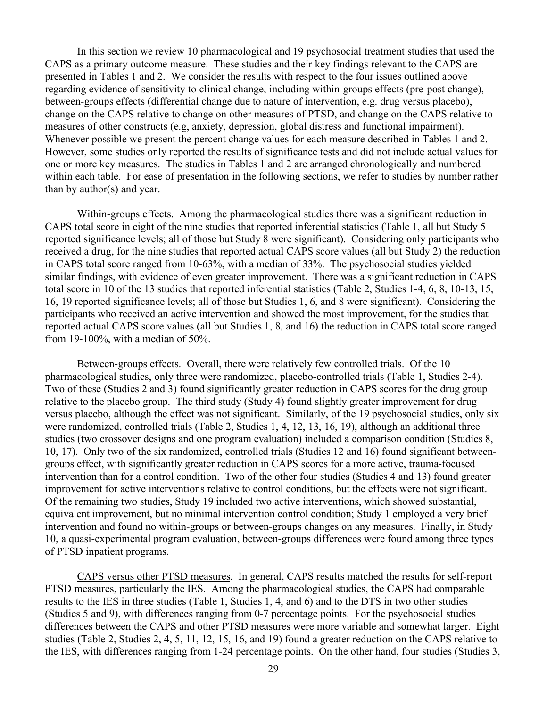In this section we review 10 pharmacological and 19 psychosocial treatment studies that used the CAPS as a primary outcome measure. These studies and their key findings relevant to the CAPS are presented in Tables 1 and 2. We consider the results with respect to the four issues outlined above regarding evidence of sensitivity to clinical change, including within-groups effects (pre-post change), between-groups effects (differential change due to nature of intervention, e.g. drug versus placebo), change on the CAPS relative to change on other measures of PTSD, and change on the CAPS relative to measures of other constructs (e.g, anxiety, depression, global distress and functional impairment). Whenever possible we present the percent change values for each measure described in Tables 1 and 2. However, some studies only reported the results of significance tests and did not include actual values for one or more key measures. The studies in Tables 1 and 2 are arranged chronologically and numbered within each table. For ease of presentation in the following sections, we refer to studies by number rather than by author(s) and year.

Within-groups effects. Among the pharmacological studies there was a significant reduction in CAPS total score in eight of the nine studies that reported inferential statistics (Table 1, all but Study 5 reported significance levels; all of those but Study 8 were significant). Considering only participants who received a drug, for the nine studies that reported actual CAPS score values (all but Study 2) the reduction in CAPS total score ranged from 10-63%, with a median of 33%. The psychosocial studies yielded similar findings, with evidence of even greater improvement. There was a significant reduction in CAPS total score in 10 of the 13 studies that reported inferential statistics (Table 2, Studies 1-4, 6, 8, 10-13, 15, 16, 19 reported significance levels; all of those but Studies 1, 6, and 8 were significant). Considering the participants who received an active intervention and showed the most improvement, for the studies that reported actual CAPS score values (all but Studies 1, 8, and 16) the reduction in CAPS total score ranged from 19-100%, with a median of 50%.

Between-groups effects. Overall, there were relatively few controlled trials. Of the 10 pharmacological studies, only three were randomized, placebo-controlled trials (Table 1, Studies 2-4). Two of these (Studies 2 and 3) found significantly greater reduction in CAPS scores for the drug group relative to the placebo group. The third study (Study 4) found slightly greater improvement for drug versus placebo, although the effect was not significant. Similarly, of the 19 psychosocial studies, only six were randomized, controlled trials (Table 2, Studies 1, 4, 12, 13, 16, 19), although an additional three studies (two crossover designs and one program evaluation) included a comparison condition (Studies 8, 10, 17). Only two of the six randomized, controlled trials (Studies 12 and 16) found significant between- groups effect, with significantly greater reduction in CAPS scores for a more active, trauma-focused intervention than for a control condition. Two of the other four studies (Studies 4 and 13) found greater improvement for active interventions relative to control conditions, but the effects were not significant. Of the remaining two studies, Study 19 included two active interventions, which showed substantial, equivalent improvement, but no minimal intervention control condition; Study 1 employed a very brief intervention and found no within-groups or between-groups changes on any measures. Finally, in Study 10, a quasi-experimental program evaluation, between-groups differences were found among three types of PTSD inpatient programs.

 CAPS versus other PTSD measures. In general, CAPS results matched the results for self-report PTSD measures, particularly the IES. Among the pharmacological studies, the CAPS had comparable results to the IES in three studies (Table 1, Studies 1, 4, and 6) and to the DTS in two other studies (Studies 5 and 9), with differences ranging from 0-7 percentage points. For the psychosocial studies differences between the CAPS and other PTSD measures were more variable and somewhat larger. Eight studies (Table 2, Studies 2, 4, 5, 11, 12, 15, 16, and 19) found a greater reduction on the CAPS relative to the IES, with differences ranging from 1-24 percentage points. On the other hand, four studies (Studies 3,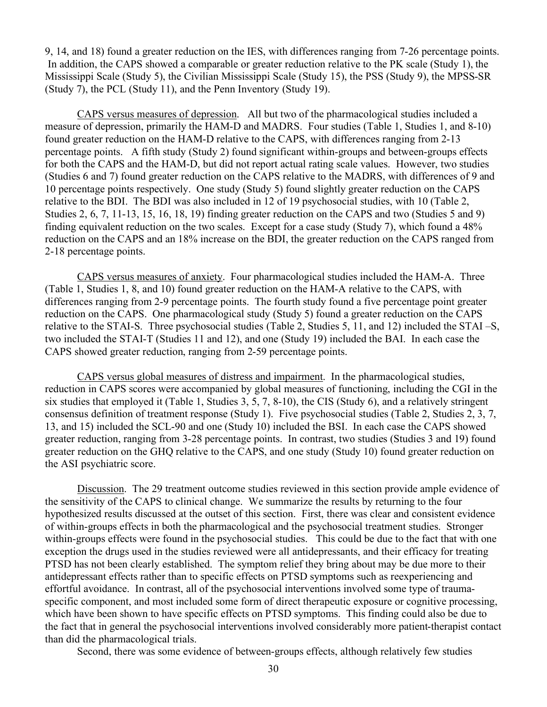9, 14, and 18) found a greater reduction on the IES, with differences ranging from 7-26 percentage points. In addition, the CAPS showed a comparable or greater reduction relative to the PK scale (Study 1), the Mississippi Scale (Study 5), the Civilian Mississippi Scale (Study 15), the PSS (Study 9), the MPSS-SR (Study 7), the PCL (Study 11), and the Penn Inventory (Study 19).

CAPS versus measures of depression. All but two of the pharmacological studies included a measure of depression, primarily the HAM-D and MADRS. Four studies (Table 1, Studies 1, and 8-10) found greater reduction on the HAM-D relative to the CAPS, with differences ranging from 2-13 percentage points. A fifth study (Study 2) found significant within-groups and between-groups effects for both the CAPS and the HAM-D, but did not report actual rating scale values. However, two studies (Studies 6 and 7) found greater reduction on the CAPS relative to the MADRS, with differences of 9 and 10 percentage points respectively. One study (Study 5) found slightly greater reduction on the CAPS relative to the BDI. The BDI was also included in 12 of 19 psychosocial studies, with 10 (Table 2, Studies 2, 6, 7, 11-13, 15, 16, 18, 19) finding greater reduction on the CAPS and two (Studies 5 and 9) finding equivalent reduction on the two scales. Except for a case study (Study 7), which found a 48% reduction on the CAPS and an 18% increase on the BDI, the greater reduction on the CAPS ranged from 2-18 percentage points.

 CAPS versus measures of anxiety. Four pharmacological studies included the HAM-A. Three (Table 1, Studies 1, 8, and 10) found greater reduction on the HAM-A relative to the CAPS, with differences ranging from 2-9 percentage points. The fourth study found a five percentage point greater reduction on the CAPS. One pharmacological study (Study 5) found a greater reduction on the CAPS relative to the STAI-S. Three psychosocial studies (Table 2, Studies 5, 11, and 12) included the STAI –S, two included the STAI-T (Studies 11 and 12), and one (Study 19) included the BAI. In each case the CAPS showed greater reduction, ranging from 2-59 percentage points.

 CAPS versus global measures of distress and impairment. In the pharmacological studies, reduction in CAPS scores were accompanied by global measures of functioning, including the CGI in the six studies that employed it (Table 1, Studies 3, 5, 7, 8-10), the CIS (Study 6), and a relatively stringent consensus definition of treatment response (Study 1). Five psychosocial studies (Table 2, Studies 2, 3, 7, 13, and 15) included the SCL-90 and one (Study 10) included the BSI. In each case the CAPS showed greater reduction, ranging from 3-28 percentage points. In contrast, two studies (Studies 3 and 19) found greater reduction on the GHQ relative to the CAPS, and one study (Study 10) found greater reduction on the ASI psychiatric score.

Discussion. The 29 treatment outcome studies reviewed in this section provide ample evidence of the sensitivity of the CAPS to clinical change. We summarize the results by returning to the four hypothesized results discussed at the outset of this section. First, there was clear and consistent evidence of within-groups effects in both the pharmacological and the psychosocial treatment studies. Stronger within-groups effects were found in the psychosocial studies. This could be due to the fact that with one exception the drugs used in the studies reviewed were all antidepressants, and their efficacy for treating PTSD has not been clearly established. The symptom relief they bring about may be due more to their antidepressant effects rather than to specific effects on PTSD symptoms such as reexperiencing and effortful avoidance. In contrast, all of the psychosocial interventions involved some type of trauma- specific component, and most included some form of direct therapeutic exposure or cognitive processing, which have been shown to have specific effects on PTSD symptoms. This finding could also be due to the fact that in general the psychosocial interventions involved considerably more patient-therapist contact than did the pharmacological trials.

Second, there was some evidence of between-groups effects, although relatively few studies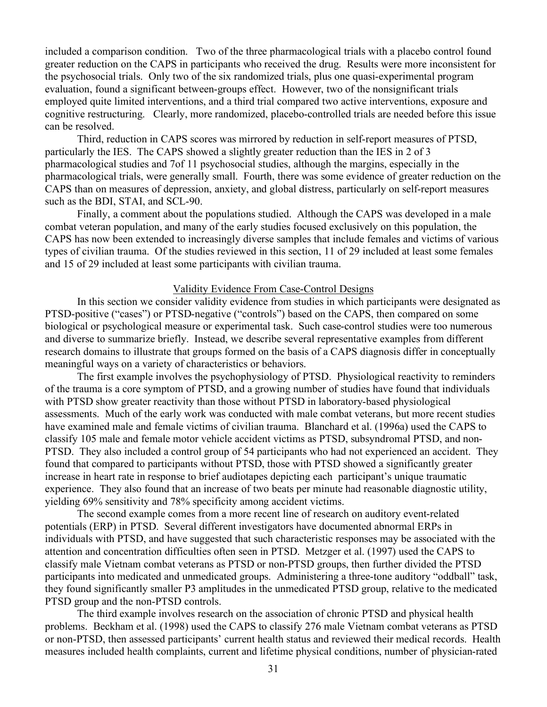included a comparison condition. Two of the three pharmacological trials with a placebo control found greater reduction on the CAPS in participants who received the drug. Results were more inconsistent for the psychosocial trials. Only two of the six randomized trials, plus one quasi-experimental program evaluation, found a significant between-groups effect. However, two of the nonsignificant trials employed quite limited interventions, and a third trial compared two active interventions, exposure and cognitive restructuring. Clearly, more randomized, placebo-controlled trials are needed before this issue can be resolved.

 Third, reduction in CAPS scores was mirrored by reduction in self-report measures of PTSD, particularly the IES. The CAPS showed a slightly greater reduction than the IES in 2 of 3 pharmacological studies and 7of 11 psychosocial studies, although the margins, especially in the pharmacological trials, were generally small. Fourth, there was some evidence of greater reduction on the CAPS than on measures of depression, anxiety, and global distress, particularly on self-report measures such as the BDI, STAI, and SCL-90.

 Finally, a comment about the populations studied. Although the CAPS was developed in a male combat veteran population, and many of the early studies focused exclusively on this population, the CAPS has now been extended to increasingly diverse samples that include females and victims of various types of civilian trauma. Of the studies reviewed in this section, 11 of 29 included at least some females and 15 of 29 included at least some participants with civilian trauma.

#### Validity Evidence From Case-Control Designs

 In this section we consider validity evidence from studies in which participants were designated as PTSD-positive ("cases") or PTSD-negative ("controls") based on the CAPS, then compared on some biological or psychological measure or experimental task. Such case-control studies were too numerous and diverse to summarize briefly. Instead, we describe several representative examples from different research domains to illustrate that groups formed on the basis of a CAPS diagnosis differ in conceptually meaningful ways on a variety of characteristics or behaviors.

 The first example involves the psychophysiology of PTSD. Physiological reactivity to reminders of the trauma is a core symptom of PTSD, and a growing number of studies have found that individuals with PTSD show greater reactivity than those without PTSD in laboratory-based physiological assessments. Much of the early work was conducted with male combat veterans, but more recent studies have examined male and female victims of civilian trauma. Blanchard et al. (1996a) used the CAPS to classify 105 male and female motor vehicle accident victims as PTSD, subsyndromal PTSD, and non- PTSD. They also included a control group of 54 participants who had not experienced an accident. They found that compared to participants without PTSD, those with PTSD showed a significantly greater increase in heart rate in response to brief audiotapes depicting each participant's unique traumatic experience. They also found that an increase of two beats per minute had reasonable diagnostic utility, yielding 69% sensitivity and 78% specificity among accident victims.

 The second example comes from a more recent line of research on auditory event-related potentials (ERP) in PTSD. Several different investigators have documented abnormal ERPs in individuals with PTSD, and have suggested that such characteristic responses may be associated with the attention and concentration difficulties often seen in PTSD. Metzger et al. (1997) used the CAPS to classify male Vietnam combat veterans as PTSD or non-PTSD groups, then further divided the PTSD participants into medicated and unmedicated groups. Administering a three-tone auditory "oddball" task, they found significantly smaller P3 amplitudes in the unmedicated PTSD group, relative to the medicated PTSD group and the non-PTSD controls.

 The third example involves research on the association of chronic PTSD and physical health problems. Beckham et al. (1998) used the CAPS to classify 276 male Vietnam combat veterans as PTSD or non-PTSD, then assessed participants' current health status and reviewed their medical records. Health measures included health complaints, current and lifetime physical conditions, number of physician-rated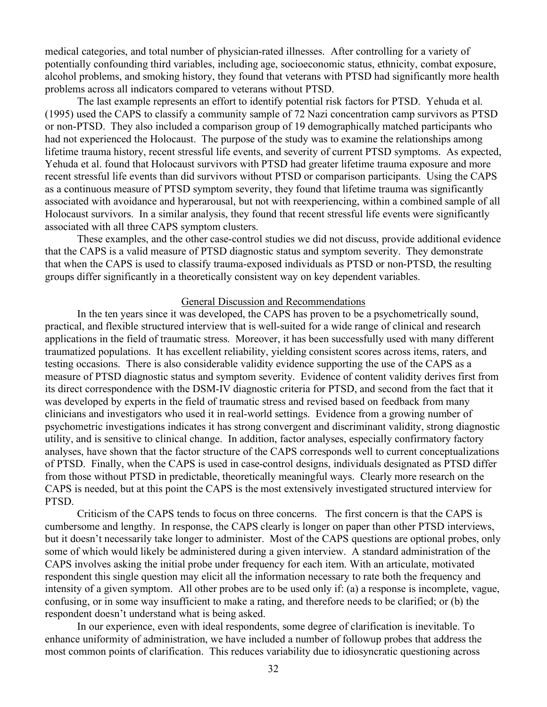medical categories, and total number of physician-rated illnesses. After controlling for a variety of potentially confounding third variables, including age, socioeconomic status, ethnicity, combat exposure, alcohol problems, and smoking history, they found that veterans with PTSD had significantly more health problems across all indicators compared to veterans without PTSD.

 The last example represents an effort to identify potential risk factors for PTSD. Yehuda et al. (1995) used the CAPS to classify a community sample of 72 Nazi concentration camp survivors as PTSD or non-PTSD. They also included a comparison group of 19 demographically matched participants who had not experienced the Holocaust. The purpose of the study was to examine the relationships among lifetime trauma history, recent stressful life events, and severity of current PTSD symptoms. As expected, Yehuda et al. found that Holocaust survivors with PTSD had greater lifetime trauma exposure and more recent stressful life events than did survivors without PTSD or comparison participants. Using the CAPS as a continuous measure of PTSD symptom severity, they found that lifetime trauma was significantly associated with avoidance and hyperarousal, but not with reexperiencing, within a combined sample of all Holocaust survivors. In a similar analysis, they found that recent stressful life events were significantly associated with all three CAPS symptom clusters.

 These examples, and the other case-control studies we did not discuss, provide additional evidence that the CAPS is a valid measure of PTSD diagnostic status and symptom severity. They demonstrate that when the CAPS is used to classify trauma-exposed individuals as PTSD or non-PTSD, the resulting groups differ significantly in a theoretically consistent way on key dependent variables.

#### General Discussion and Recommendations

 In the ten years since it was developed, the CAPS has proven to be a psychometrically sound, practical, and flexible structured interview that is well-suited for a wide range of clinical and research applications in the field of traumatic stress. Moreover, it has been successfully used with many different traumatized populations. It has excellent reliability, yielding consistent scores across items, raters, and testing occasions. There is also considerable validity evidence supporting the use of the CAPS as a measure of PTSD diagnostic status and symptom severity. Evidence of content validity derives first from its direct correspondence with the DSM-IV diagnostic criteria for PTSD, and second from the fact that it was developed by experts in the field of traumatic stress and revised based on feedback from many clinicians and investigators who used it in real-world settings. Evidence from a growing number of psychometric investigations indicates it has strong convergent and discriminant validity, strong diagnostic utility, and is sensitive to clinical change. In addition, factor analyses, especially confirmatory factory analyses, have shown that the factor structure of the CAPS corresponds well to current conceptualizations of PTSD. Finally, when the CAPS is used in case-control designs, individuals designated as PTSD differ from those without PTSD in predictable, theoretically meaningful ways. Clearly more research on the CAPS is needed, but at this point the CAPS is the most extensively investigated structured interview for PTSD.

 Criticism of the CAPS tends to focus on three concerns. The first concern is that the CAPS is cumbersome and lengthy. In response, the CAPS clearly is longer on paper than other PTSD interviews, but it doesn't necessarily take longer to administer. Most of the CAPS questions are optional probes, only some of which would likely be administered during a given interview. A standard administration of the CAPS involves asking the initial probe under frequency for each item. With an articulate, motivated respondent this single question may elicit all the information necessary to rate both the frequency and intensity of a given symptom. All other probes are to be used only if: (a) a response is incomplete, vague, confusing, or in some way insufficient to make a rating, and therefore needs to be clarified; or (b) the respondent doesn't understand what is being asked.

 In our experience, even with ideal respondents, some degree of clarification is inevitable. To enhance uniformity of administration, we have included a number of followup probes that address the most common points of clarification. This reduces variability due to idiosyncratic questioning across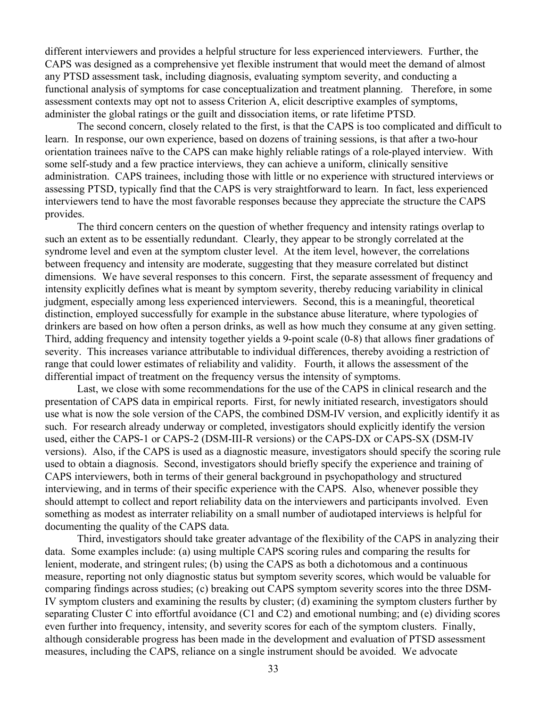different interviewers and provides a helpful structure for less experienced interviewers. Further, the CAPS was designed as a comprehensive yet flexible instrument that would meet the demand of almost any PTSD assessment task, including diagnosis, evaluating symptom severity, and conducting a functional analysis of symptoms for case conceptualization and treatment planning. Therefore, in some assessment contexts may opt not to assess Criterion A, elicit descriptive examples of symptoms, administer the global ratings or the guilt and dissociation items, or rate lifetime PTSD.

 The second concern, closely related to the first, is that the CAPS is too complicated and difficult to learn. In response, our own experience, based on dozens of training sessions, is that after a two-hour orientation trainees naïve to the CAPS can make highly reliable ratings of a role-played interview. With some self-study and a few practice interviews, they can achieve a uniform, clinically sensitive administration. CAPS trainees, including those with little or no experience with structured interviews or assessing PTSD, typically find that the CAPS is very straightforward to learn. In fact, less experienced interviewers tend to have the most favorable responses because they appreciate the structure the CAPS provides.

 The third concern centers on the question of whether frequency and intensity ratings overlap to such an extent as to be essentially redundant. Clearly, they appear to be strongly correlated at the syndrome level and even at the symptom cluster level. At the item level, however, the correlations between frequency and intensity are moderate, suggesting that they measure correlated but distinct dimensions. We have several responses to this concern. First, the separate assessment of frequency and intensity explicitly defines what is meant by symptom severity, thereby reducing variability in clinical judgment, especially among less experienced interviewers. Second, this is a meaningful, theoretical distinction, employed successfully for example in the substance abuse literature, where typologies of drinkers are based on how often a person drinks, as well as how much they consume at any given setting. Third, adding frequency and intensity together yields a 9-point scale (0-8) that allows finer gradations of severity. This increases variance attributable to individual differences, thereby avoiding a restriction of range that could lower estimates of reliability and validity. Fourth, it allows the assessment of the differential impact of treatment on the frequency versus the intensity of symptoms.

Last, we close with some recommendations for the use of the CAPS in clinical research and the presentation of CAPS data in empirical reports. First, for newly initiated research, investigators should use what is now the sole version of the CAPS, the combined DSM-IV version, and explicitly identify it as such. For research already underway or completed, investigators should explicitly identify the version used, either the CAPS-1 or CAPS-2 (DSM-III-R versions) or the CAPS-DX or CAPS-SX (DSM-IV versions). Also, if the CAPS is used as a diagnostic measure, investigators should specify the scoring rule used to obtain a diagnosis. Second, investigators should briefly specify the experience and training of CAPS interviewers, both in terms of their general background in psychopathology and structured interviewing, and in terms of their specific experience with the CAPS. Also, whenever possible they should attempt to collect and report reliability data on the interviewers and participants involved. Even something as modest as interrater reliability on a small number of audiotaped interviews is helpful for documenting the quality of the CAPS data.

 Third, investigators should take greater advantage of the flexibility of the CAPS in analyzing their data. Some examples include: (a) using multiple CAPS scoring rules and comparing the results for lenient, moderate, and stringent rules; (b) using the CAPS as both a dichotomous and a continuous measure, reporting not only diagnostic status but symptom severity scores, which would be valuable for comparing findings across studies; (c) breaking out CAPS symptom severity scores into the three DSM- IV symptom clusters and examining the results by cluster; (d) examining the symptom clusters further by separating Cluster C into effortful avoidance (C1 and C2) and emotional numbing; and (e) dividing scores even further into frequency, intensity, and severity scores for each of the symptom clusters. Finally, although considerable progress has been made in the development and evaluation of PTSD assessment measures, including the CAPS, reliance on a single instrument should be avoided. We advocate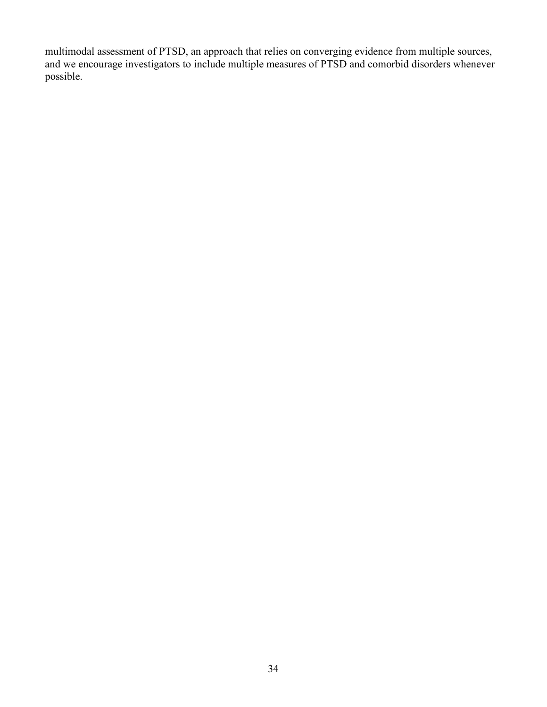multimodal assessment of PTSD, an approach that relies on converging evidence from multiple sources, and we encourage investigators to include multiple measures of PTSD and comorbid disorders whenever possible.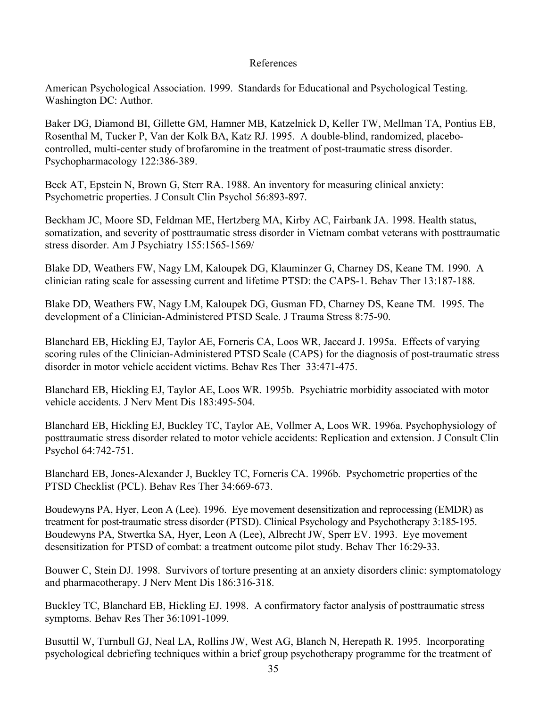#### References

 American Psychological Association. 1999. Standards for Educational and Psychological Testing. Washington DC: Author.

 Baker DG, Diamond BI, Gillette GM, Hamner MB, Katzelnick D, Keller TW, Mellman TA, Pontius EB, Rosenthal M, Tucker P, Van der Kolk BA, Katz RJ. 1995. A double-blind, randomized, placebo- controlled, multi-center study of brofaromine in the treatment of post-traumatic stress disorder. Psychopharmacology 122:386-389.

 Beck AT, Epstein N, Brown G, Sterr RA. 1988. An inventory for measuring clinical anxiety: Psychometric properties. J Consult Clin Psychol 56:893-897.

 Beckham JC, Moore SD, Feldman ME, Hertzberg MA, Kirby AC, Fairbank JA. 1998. Health status, somatization, and severity of posttraumatic stress disorder in Vietnam combat veterans with posttraumatic stress disorder. Am J Psychiatry 155:1565-1569/

 Blake DD, Weathers FW, Nagy LM, Kaloupek DG, Klauminzer G, Charney DS, Keane TM. 1990. A clinician rating scale for assessing current and lifetime PTSD: the CAPS-1. Behav Ther 13:187-188.

 Blake DD, Weathers FW, Nagy LM, Kaloupek DG, Gusman FD, Charney DS, Keane TM. 1995. The development of a Clinician-Administered PTSD Scale. J Trauma Stress 8:75-90.

 Blanchard EB, Hickling EJ, Taylor AE, Forneris CA, Loos WR, Jaccard J. 1995a. Effects of varying scoring rules of the Clinician-Administered PTSD Scale (CAPS) for the diagnosis of post-traumatic stress disorder in motor vehicle accident victims. Behav Res Ther 33:471-475.

 Blanchard EB, Hickling EJ, Taylor AE, Loos WR. 1995b. Psychiatric morbidity associated with motor vehicle accidents. J Nerv Ment Dis 183:495-504.

 Blanchard EB, Hickling EJ, Buckley TC, Taylor AE, Vollmer A, Loos WR. 1996a. Psychophysiology of posttraumatic stress disorder related to motor vehicle accidents: Replication and extension. J Consult Clin Psychol 64:742-751.

 Blanchard EB, Jones-Alexander J, Buckley TC, Forneris CA. 1996b. Psychometric properties of the PTSD Checklist (PCL). Behav Res Ther 34:669-673.

 Boudewyns PA, Hyer, Leon A (Lee). 1996. Eye movement desensitization and reprocessing (EMDR) as treatment for post-traumatic stress disorder (PTSD). Clinical Psychology and Psychotherapy 3:185-195. Boudewyns PA, Stwertka SA, Hyer, Leon A (Lee), Albrecht JW, Sperr EV. 1993. Eye movement desensitization for PTSD of combat: a treatment outcome pilot study. Behav Ther 16:29-33.

 Bouwer C, Stein DJ. 1998. Survivors of torture presenting at an anxiety disorders clinic: symptomatology and pharmacotherapy. J Nerv Ment Dis 186:316-318.

 Buckley TC, Blanchard EB, Hickling EJ. 1998. A confirmatory factor analysis of posttraumatic stress symptoms. Behav Res Ther 36:1091-1099.

 Busuttil W, Turnbull GJ, Neal LA, Rollins JW, West AG, Blanch N, Herepath R. 1995. Incorporating psychological debriefing techniques within a brief group psychotherapy programme for the treatment of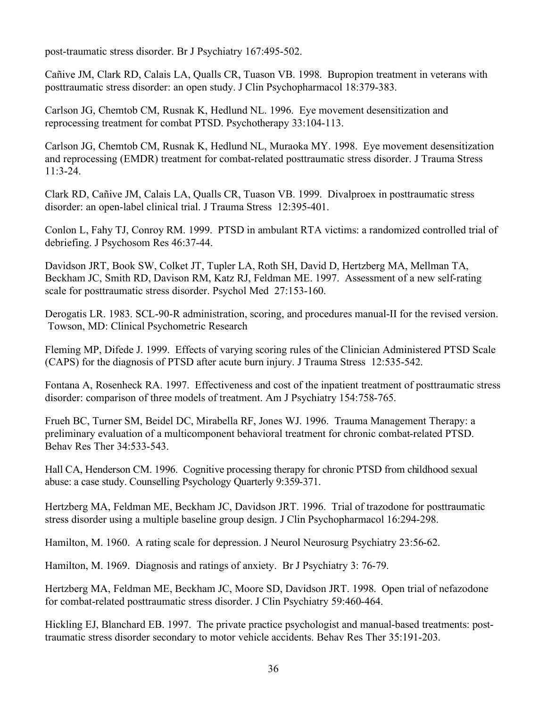post-traumatic stress disorder. Br J Psychiatry 167:495-502.

 Cañive JM, Clark RD, Calais LA, Qualls CR, Tuason VB. 1998. Bupropion treatment in veterans with posttraumatic stress disorder: an open study. J Clin Psychopharmacol 18:379-383.

 Carlson JG, Chemtob CM, Rusnak K, Hedlund NL. 1996. Eye movement desensitization and reprocessing treatment for combat PTSD. Psychotherapy 33:104-113.

 Carlson JG, Chemtob CM, Rusnak K, Hedlund NL, Muraoka MY. 1998. Eye movement desensitization and reprocessing (EMDR) treatment for combat-related posttraumatic stress disorder. J Trauma Stress 11:3-24.

 Clark RD, Cañive JM, Calais LA, Qualls CR, Tuason VB. 1999. Divalproex in posttraumatic stress disorder: an open-label clinical trial. J Trauma Stress 12:395-401.

 Conlon L, Fahy TJ, Conroy RM. 1999. PTSD in ambulant RTA victims: a randomized controlled trial of debriefing. J Psychosom Res 46:37-44.

 Davidson JRT, Book SW, Colket JT, Tupler LA, Roth SH, David D, Hertzberg MA, Mellman TA, Beckham JC, Smith RD, Davison RM, Katz RJ, Feldman ME. 1997. Assessment of a new self-rating scale for posttraumatic stress disorder. Psychol Med 27:153-160.

 Derogatis LR. 1983. SCL-90-R administration, scoring, and procedures manual-II for the revised version. Towson, MD: Clinical Psychometric Research

 Fleming MP, Difede J. 1999. Effects of varying scoring rules of the Clinician Administered PTSD Scale (CAPS) for the diagnosis of PTSD after acute burn injury. J Trauma Stress 12:535-542.

 Fontana A, Rosenheck RA. 1997. Effectiveness and cost of the inpatient treatment of posttraumatic stress disorder: comparison of three models of treatment. Am J Psychiatry 154:758-765.

 Frueh BC, Turner SM, Beidel DC, Mirabella RF, Jones WJ. 1996. Trauma Management Therapy: a preliminary evaluation of a multicomponent behavioral treatment for chronic combat-related PTSD. Behav Res Ther 34:533-543.

 Hall CA, Henderson CM. 1996. Cognitive processing therapy for chronic PTSD from childhood sexual abuse: a case study. Counselling Psychology Quarterly 9:359-371.

 Hertzberg MA, Feldman ME, Beckham JC, Davidson JRT. 1996. Trial of trazodone for posttraumatic stress disorder using a multiple baseline group design. J Clin Psychopharmacol 16:294-298.

Hamilton, M. 1960. A rating scale for depression. J Neurol Neurosurg Psychiatry 23:56-62.

Hamilton, M. 1969. Diagnosis and ratings of anxiety. Br J Psychiatry 3: 76-79.

 Hertzberg MA, Feldman ME, Beckham JC, Moore SD, Davidson JRT. 1998. Open trial of nefazodone for combat-related posttraumatic stress disorder. J Clin Psychiatry 59:460-464.

 Hickling EJ, Blanchard EB. 1997. The private practice psychologist and manual-based treatments: post-traumatic stress disorder secondary to motor vehicle accidents. Behav Res Ther 35:191-203.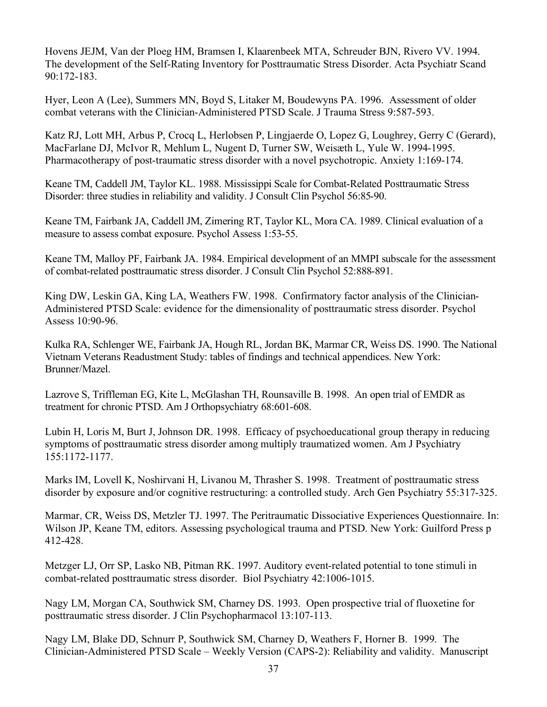Hovens JEJM, Van der Ploeg HM, Bramsen I, Klaarenbeek MTA, Schreuder BJN, Rivero VV. 1994. The development of the Self-Rating Inventory for Posttraumatic Stress Disorder. Acta Psychiatr Scand 90:172-183.

 Hyer, Leon A (Lee), Summers MN, Boyd S, Litaker M, Boudewyns PA. 1996. Assessment of older combat veterans with the Clinician-Administered PTSD Scale. J Trauma Stress 9:587-593.

 Katz RJ, Lott MH, Arbus P, Crocq L, Herlobsen P, Lingjaerde O, Lopez G, Loughrey, Gerry C (Gerard), MacFarlane DJ, McIvor R, Mehlum L, Nugent D, Turner SW, Weisæth L, Yule W. 1994-1995. Pharmacotherapy of post-traumatic stress disorder with a novel psychotropic. Anxiety 1:169-174.

 Keane TM, Caddell JM, Taylor KL. 1988. Mississippi Scale for Combat-Related Posttraumatic Stress Disorder: three studies in reliability and validity. J Consult Clin Psychol 56:85-90.

 Keane TM, Fairbank JA, Caddell JM, Zimering RT, Taylor KL, Mora CA. 1989. Clinical evaluation of a measure to assess combat exposure. Psychol Assess 1:53-55.

 Keane TM, Malloy PF, Fairbank JA. 1984. Empirical development of an MMPI subscale for the assessment of combat-related posttraumatic stress disorder. J Consult Clin Psychol 52:888-891.

 King DW, Leskin GA, King LA, Weathers FW. 1998. Confirmatory factor analysis of the Clinician- Administered PTSD Scale: evidence for the dimensionality of posttraumatic stress disorder. Psychol Assess 10:90-96.

 Kulka RA, Schlenger WE, Fairbank JA, Hough RL, Jordan BK, Marmar CR, Weiss DS. 1990. The National Vietnam Veterans Readustment Study: tables of findings and technical appendices. New York: Brunner/Mazel.

 Lazrove S, Triffleman EG, Kite L, McGlashan TH, Rounsaville B. 1998. An open trial of EMDR as treatment for chronic PTSD. Am J Orthopsychiatry 68:601-608.

 Lubin H, Loris M, Burt J, Johnson DR. 1998. Efficacy of psychoeducational group therapy in reducing symptoms of posttraumatic stress disorder among multiply traumatized women. Am J Psychiatry 155:1172-1177.

 Marks IM, Lovell K, Noshirvani H, Livanou M, Thrasher S. 1998. Treatment of posttraumatic stress disorder by exposure and/or cognitive restructuring: a controlled study. Arch Gen Psychiatry 55:317-325.

 Marmar, CR, Weiss DS, Metzler TJ. 1997. The Peritraumatic Dissociative Experiences Questionnaire. In: Wilson JP, Keane TM, editors. Assessing psychological trauma and PTSD. New York: Guilford Press p 412-428.

 Metzger LJ, Orr SP, Lasko NB, Pitman RK. 1997. Auditory event-related potential to tone stimuli in combat-related posttraumatic stress disorder. Biol Psychiatry 42:1006-1015.

 Nagy LM, Morgan CA, Southwick SM, Charney DS. 1993. Open prospective trial of fluoxetine for posttraumatic stress disorder. J Clin Psychopharmacol 13:107-113.

 Nagy LM, Blake DD, Schnurr P, Southwick SM, Charney D, Weathers F, Horner B. 1999. The Clinician-Administered PTSD Scale – Weekly Version (CAPS-2): Reliability and validity. Manuscript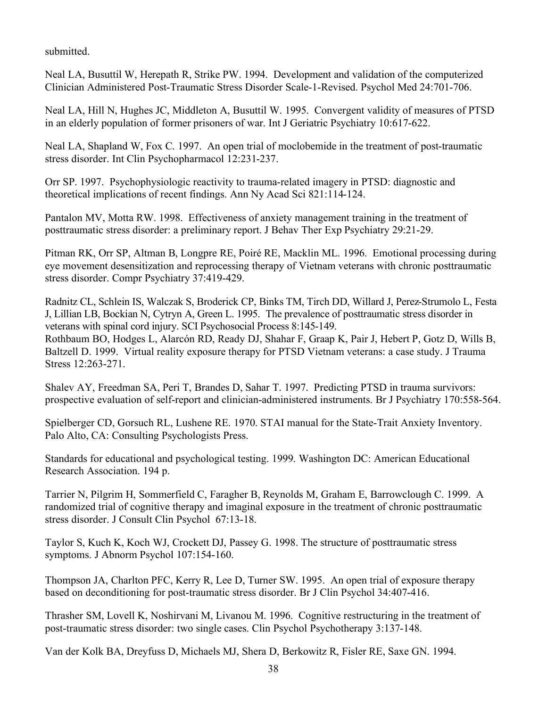submitted.

 Neal LA, Busuttil W, Herepath R, Strike PW. 1994. Development and validation of the computerized Clinician Administered Post-Traumatic Stress Disorder Scale-1-Revised. Psychol Med 24:701-706.

 Neal LA, Hill N, Hughes JC, Middleton A, Busuttil W. 1995. Convergent validity of measures of PTSD in an elderly population of former prisoners of war. Int J Geriatric Psychiatry 10:617-622.

 Neal LA, Shapland W, Fox C. 1997. An open trial of moclobemide in the treatment of post-traumatic stress disorder. Int Clin Psychopharmacol 12:231-237.

 Orr SP. 1997. Psychophysiologic reactivity to trauma-related imagery in PTSD: diagnostic and theoretical implications of recent findings. Ann Ny Acad Sci 821:114-124.

 Pantalon MV, Motta RW. 1998. Effectiveness of anxiety management training in the treatment of posttraumatic stress disorder: a preliminary report. J Behav Ther Exp Psychiatry 29:21-29.

 Pitman RK, Orr SP, Altman B, Longpre RE, Poiré RE, Macklin ML. 1996. Emotional processing during eye movement desensitization and reprocessing therapy of Vietnam veterans with chronic posttraumatic stress disorder. Compr Psychiatry 37:419-429.

 Radnitz CL, Schlein IS, Walczak S, Broderick CP, Binks TM, Tirch DD, Willard J, Perez-Strumolo L, Festa J, Lillian LB, Bockian N, Cytryn A, Green L. 1995. The prevalence of posttraumatic stress disorder in veterans with spinal cord injury. SCI Psychosocial Process 8:145-149. Rothbaum BO, Hodges L, Alarcón RD, Ready DJ, Shahar F, Graap K, Pair J, Hebert P, Gotz D, Wills B, Baltzell D. 1999. Virtual reality exposure therapy for PTSD Vietnam veterans: a case study. J Trauma Stress 12:263-271.

 Shalev AY, Freedman SA, Peri T, Brandes D, Sahar T. 1997. Predicting PTSD in trauma survivors: prospective evaluation of self-report and clinician-administered instruments. Br J Psychiatry 170:558-564.

 Spielberger CD, Gorsuch RL, Lushene RE. 1970. STAI manual for the State-Trait Anxiety Inventory. Palo Alto, CA: Consulting Psychologists Press.

 Standards for educational and psychological testing. 1999. Washington DC: American Educational Research Association. 194 p.

 Tarrier N, Pilgrim H, Sommerfield C, Faragher B, Reynolds M, Graham E, Barrowclough C. 1999. A randomized trial of cognitive therapy and imaginal exposure in the treatment of chronic posttraumatic stress disorder. J Consult Clin Psychol 67:13-18.

 Taylor S, Kuch K, Koch WJ, Crockett DJ, Passey G. 1998. The structure of posttraumatic stress symptoms. J Abnorm Psychol 107:154-160.

 Thompson JA, Charlton PFC, Kerry R, Lee D, Turner SW. 1995. An open trial of exposure therapy based on deconditioning for post-traumatic stress disorder. Br J Clin Psychol 34:407-416.

 Thrasher SM, Lovell K, Noshirvani M, Livanou M. 1996. Cognitive restructuring in the treatment of post-traumatic stress disorder: two single cases. Clin Psychol Psychotherapy 3:137-148.

Van der Kolk BA, Dreyfuss D, Michaels MJ, Shera D, Berkowitz R, Fisler RE, Saxe GN. 1994.